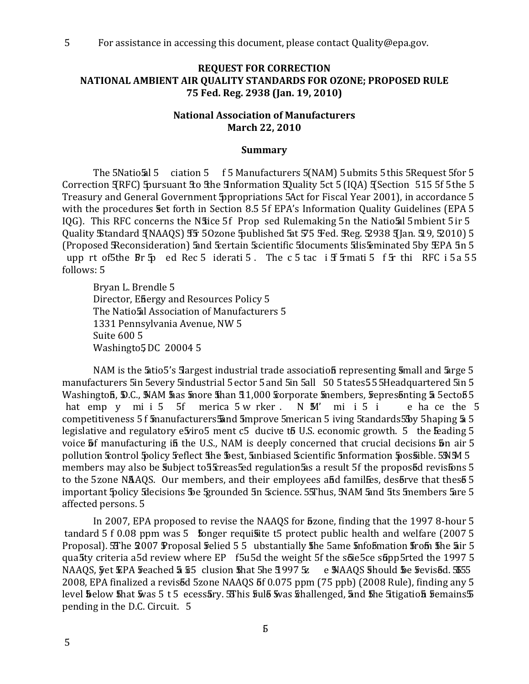### **REQUEST FOR CORRECTION** NATIONAL AMBIENT AIR QUALITY STANDARDS FOR OZONE; PROPOSED RULE 75 Fed. Reg. 2938 (Jan. 19, 2010)

### **National Association of Manufacturers March 22, 2010**

#### **Summary**

The 5Natio 5 ciation 5 f 5 Manufacturers 5(NAM) 5 ubmits 5 this 5 Request 5 for 5 Correction TRFC) Spursuant To The Information Duality 5ct 5 (IQA) Theotion 515 5f 5the 5 Treasury and General Government Sppropriations 5Act for Fiscal Year 2001), in accordance 5 with the procedures set forth in Section 8.5 5f EPA's Information Quality Guidelines (EPA 5 IQG). This RFC concerns the NS ice 5f Prop sed Rulemaking 5n the Natio 5al 5 mbient 5 ir 5 Ouality Standard JNAAOS) FF 50zone 5 ublished 5 at 575 Fed. Reg. \$938 JJan. 519, \$2010) 5 (Proposed Reconsideration) 5and 5 sertain 5 scientific 5 documents 5 dis 5 minated 5 by EPA 5 n 5 upp rt of5the Br 5p ed Rec 5 iderati 5. The c 5 tac i ff 5 mati 5 f 5r thi RFC i 5a 55 follows: 5

Bryan L. Brendle 5 Director, Efiergy and Resources Policy 5 The Natio al Association of Manufacturers 5 1331 Pennsylvania Avenue. NW 5 **Suite 600 5** Washingto5DC 200045

NAM is the 5atio5's 5 argest industrial trade association representing 5 mall and 5 arge 5 manufacturers 5in 5every 5industrial 5 ector 5 and 5in 5all 50 5 tates 5 5 5 Headquartered 5in 5 Washington, D.C., NAM has more than 51,000 forporate members, represonting a 5ecto 55 hat emp y mi i 5 5f merica 5 w rker. N M' mi i 5 i e ha ce the 5 competitiveness 5 f 5 manufacturers 5 and 5 mprove 5 merican 5 iving 5 tandards 5 5 y 5 haping 5 5 legislative and regulatory e5viro5 ment c5 ducive t5 U.S. economic growth. 5 the Feading 5 voice 5f manufacturing if the U.S., NAM is deeply concerned that crucial decisions 5n air 5 pollution Sontrol Spolicy Seflect She Sest, Sinbiased Scientific Snformation Spossible. 5NM 5 members may also be 5ubject to 55 creas 5 ed regulation 5 a result 5 f the propos 5 cents fons 5 to the 5zone NAAQS. Our members, and their employees and families, desorve that thes 55 important Spolicy Sdecisions Be Sprounded 5n Science. 55Thus, NAM Sand 5ts 5members Sare 5 affected persons. 5

In 2007, EPA proposed to revise the NAAQS for **5**zone, finding that the 1997 8-hour 5 tandard 5 f 0.08 ppm was 5 fonger requisite t5 protect public health and welfare (2007 5 Proposal). SThe 2007 Proposal Felied 5 5 ubstantially The 5ame Information From The Lair 5 qua5ty criteria a5d review where EP f5u5d the weight 5f the s6ie5ce s6pp5rted the 1997 5 NAAQS, yet EPA veached 5 55 clusion that 5he 5997 5z e MAAQS Should be revised. 555 2008, EPA finalized a revis<sup>5</sup>d 5zone NAAQS 5f 0.075 ppm (75 ppb) (2008 Rule), finding any 5 level below that was 5 t 5 ecessary. Shis full was thallenged, and the Stigation femains 5 pending in the D.C. Circuit. 5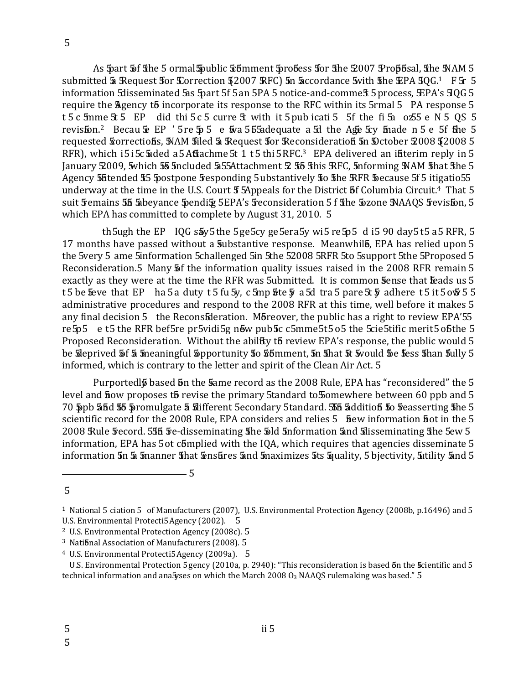5

As 5 part 5 f fihe 5 ormal Spublic & 5 mment 5 robess for the 2007 Prop6sal, the NAM 5 submitted 5 Request for Correction 52007 RFC) 5n 5 accordance 5 with the EPA 50G.<sup>1</sup> F 5r 5 information 5 disseminated 5 as 5 part 5 f 5 an 5 PA 5 notice-and-comme \$ 5 process, EPA's 5 0 6 5 require the Agency to incorporate its response to the RFC within its 5 rmal 5 PA response 5 t 5 c 5mme 5: 5 EP did thi 5 c 5 curre 5t with it 5 pub icati 5 5f the fi 5a o 55 e N 5 QS 5 revisfon.<sup>2</sup> Becau & EP '5re \$ 5 e \$ 555 adequate a 5d the Age 5cy finade n 5 e 5f fine 5 requested Sorrections, NAM filed 5 Request for Reconsideration 5n Dctober 2008 52008 5 RFR), which i5i5c5ided a5Affachme5t 1 t5 thi5RFC.<sup>3</sup> EPA delivered an ifiterim reply in 5 January 2009, 5 which 55 5 ncluded 555 Attachment 2 55 This RFC, 5 nforming NAM That The 5 Agency 55 ftended 55 5 postpone 5 responding 5 ubstantively 50 5 he RFR 5 because 5 f5 itigatio 55 underway at the time in the U.S. Court 5 5Appeals for the District 5f Columbia Circuit.<sup>4</sup> That 5 suit Femains 55 5 beyance 5 pendity 5 EPA's 5 reconsideration 5 f The 5 zone JNAAQS 5 revisfon, 5 which EPA has committed to complete by August 31, 2010. 5

th 5ugh the EP IQG s by 5 the 5ge 5cy ge 5era 5y wi 5 re 5p 5 d i 5 90 day 5 t 5 a 5 RFR, 5 17 months have passed without a substantive response. Meanwhil, EPA has relied upon 5 the 5very 5 ame 5information 5challenged 5in 5the 52008 5RFR 5to 5support 5the 5Proposed 5 Reconsideration.5 Many 5f the information quality issues raised in the 2008 RFR remain 5 exactly as they were at the time the RFR was 5ubmitted. It is common Sense that Seads us 5 t 5 be feve that EP ha 5 a duty t 5 fu 5y, c 5mp  $f$  a 5d tra 5 pare 5t  $\bar{y}$  adhere t 5 it 5 o $\bar{w}$  5 5 administrative procedures and respond to the 2008 RFR at this time, well before it makes 5 any final decision 5 the Reconsideration. Moreover, the public has a right to review EPA'55 re 5p5 e t5 the RFR bef5re pr5vidi5g n6w pub5c c5mme5t5 o5 the 5cie5tific merit5 o6the 5 Proposed Reconsideration. Without the ability to review EPA's response, the public would 5 be Sileprived 5f 5 5 meaningful 5 pportunity 50 5 5 mment, 5n 5 hat 5t 5 would 5 e 5 ess 5 han 5 ully 5 informed, which is contrary to the letter and spirit of the Clean Air Act. 5

Purportedlo based on the same record as the 2008 Rule, EPA has "reconsidered" the 5 level and **h**ow proposes to revise the primary 5tandard to 50 mewhere between 60 ppb and 5 70 ppb 5 and 55 promulgate 5 slifferent 5 econdary 5 tandard. 55 5 addition 5 to 5 easserting 5 he 5 scientific record for the 2008 Rule, EPA considers and relies 5 **h**ew information **h**ot in the 5 2008 Rule Fecord. 555 Fe-disseminating the 5dd 5nformation 5nd 5disseminating the 5ew 5 information, EPA has 5 ot complied with the IQA, which requires that agencies disseminate 5 information 5n 5 5manner 5hat Ensures 5and 5maximizes 5ts 5quality, 5 bjectivity, 5 tility 5nd 5

 $\overline{5}$ 

 $\overline{5}$ 

<sup>&</sup>lt;sup>1</sup> National 5 ciation 5 of Manufacturers (2007), U.S. Environmental Protection Agency (2008b, p.16496) and 5 U.S. Environmental Protecti5 Agency (2002). 5

<sup>&</sup>lt;sup>2</sup> U.S. Environmental Protection Agency (2008c). 5

<sup>&</sup>lt;sup>3</sup> National Association of Manufacturers (2008). 5

<sup>&</sup>lt;sup>4</sup> U.S. Environmental Protecti5 Agency (2009a). 5

U.S. Environmental Protection 5 gency (2010a, p. 2940): "This reconsideration is based 5n the Scientific and 5 technical information and ana 5yses on which the March 2008  $O_3$  NAAQS rulemaking was based." 5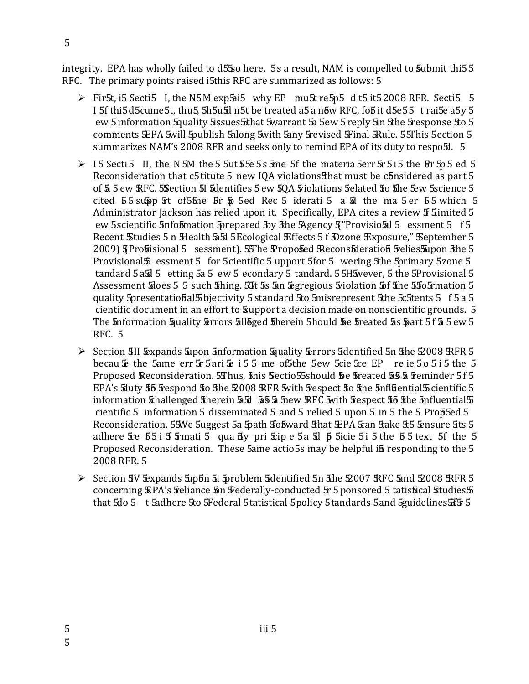integrity. EPA has wholly failed to d55so here. 5s a result, NAM is compelled to 5ubmit thi 55 RFC. The primary points raised i5this RFC are summarized as follows: 5

- $\triangleright$  Fir5t, i5 Secti5 I, the N5M exp5ai5 why EP mu5t re5p5 d t5 it5 2008 RFR. Secti5 5 I 5f thi5d5cume5t, thu5, 5h5u5d n5t be treated a5 a n6w RFC, fo5 it d5e55 t rai5e a5y 5 ew 5 information 5 quality 5 issues 5 that 5 warrant 5 a5ew 5 reply 5 n 5 he 5 response 5 to 5 comments SEPA 5will 5publish 5along 5with 5any 5revised Final 5Rule. 55This 5 ection 5 summarizes NAM's 2008 RFR and seeks only to remind EPA of its duty to resposd. 5
- > 15 Secti 5 II, the N 5M the 5 5ut 55e 5 s 5me 5f the materia 5err 5r 5 i 5 the Br 5p 5 ed 5 Reconsideration that c5 titute 5 new IQA violations that must be considered as part 5 of 5 5 ew RFC. S Section 51 5 dentifies 5 ew 50A 5 riolations 5 elated 50 5 he 5 ew 5 science 5 cited 55 supp 5t of 5the Br 5 5ed Rec 5 iderati 5 a 5d the ma 5 er 55 which 5 Administrator Jackson has relied upon it. Specifically, EPA cites a review 5 Simited 5 ew 5 scientific 5 nfob mation 5 prepared 5 v 5 the 5 Agency 5 "Provisio 5 1 5 essment 5 f 5 Recent Studies 5 n Health 55d 5Ecological Effects 5 f Dzone Exposure," September 5 2009) JProfisional 5 sessment). 5The Proposed Reconsideration 5 relies 5 apponsible 5 Provisional 5 essment 5 for 5 cientific 5 upport 5 for 5 wering 5 the 5 primary 5 zone 5 tandard 5 a5d 5 etting 5a 5 ew 5 econdary 5 tandard. 5 5H 5 wever, 5 the 5P rovisional 5 Assessment Sloes 5 5 such Shing. 59t 5s 5an Segregious 5 violation 5of She 55 o 5 mation 5 quality 5 presentation also bjectivity 5 standard 5 to 5 misrepresent 5 the 5 c5 tents 5 f 5 a 5 cientific document in an effort to Support a decision made on nonscientific grounds. 5 The 5nformation 5 quality 5 rrors 5 lloged 5 herein 5 hould 5 e 5 reated 5 s 5 art 5 f 5 5 ew 5 **RFC. 5**
- > Section 3II Expands 5 upon 5 nformation 5 quality 5 errors 5 dentified 5n 5 he 5 2008 RFR 5 becau & the 5ame err 5 5 ari & i 5 5 me of 5 the 5 ew 5 cie 5 ce EP re ie 5 o 5 i 5 the 5 Proposed Reconsideration. 5Thus, 5his Sectio55should 5e 5 reated 55 5 5 eminder 5f 5 EPA's Suty 55 Fespond 50 5he 2008 RFR 5 with 5 respect 50 5he 5 nfl 5 entities 5 cientific 5 information 5 disseminated 5 and 5 relied 5 upon 5 in 5 the 5 Prop5ed 5 Reconsideration. 55We 5uggest 5a 5path Sobward Sthat EPA 5can Stake St5 5ensure 5ts 5 adhere  $\overline{3}$ ce  $\overline{5}$  5 if  $\overline{5}$  mati 5 qua fly pri  $\overline{5}$ ip e 5 a  $\overline{5}$  d  $\overline{5}$  5 icie 5 i 5 the 5 5 text 5 f the 5 Proposed Reconsideration. These 5ame actio5s may be helpful if responding to the 5 2008 RFR. 5
- $\triangleright$  Section IV Expands Supon & Sproblem 5 dentified 5n Sthe  $\frac{2007}{7}$  RFC 5 and  $\frac{2008}{7}$  RFR 5 concerning EPA's Feliance 5n Federally-conducted 5r 5 ponsored 5 tatisfical Studies 5 that 5do 5 t 5adhere 5to 5Federal 5 tatistical 5 policy 5 tandards 5 and 5 guidelines 5 f5 5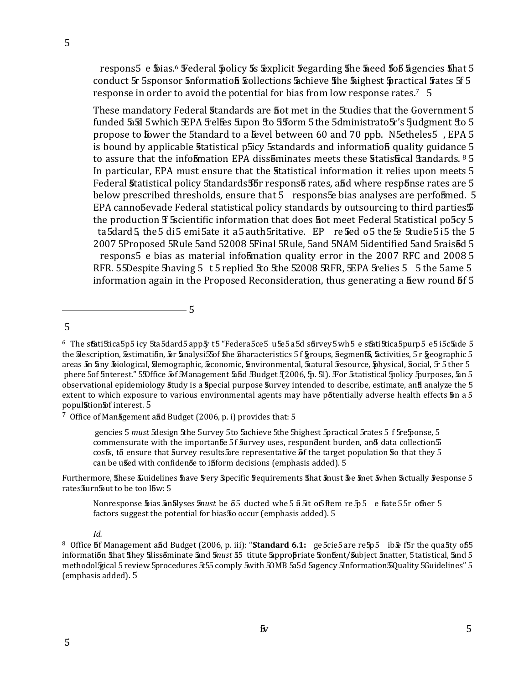respons 5 e \$pias.<sup>6</sup> Federal \$policy \$ \$xplicit \$ regarding \$ he \$ need \$ 05 \$ agencies \$ hat 5 conduct 5r 5sponsor 5nformation Sollections 5 chieve 5he 5 highest 5 practical 5 ates 5f 5 response in order to avoid the potential for bias from low response rates.<sup>7</sup> 5

These mandatory Federal Standards are fiot met in the 5tudies that the Government 5 funded 5a5d 5 which EPA 5 relies 5 upon 5 o 55 form 5 the 5 dministrato 5 r's 5 udgment 5 o 5 propose to bower the 5tandard to a lievel between 60 and 70 ppb. N5etheles5, EPA 5 is bound by applicable statistical p5icy 5 standards and information quality guidance 5 to assure that the infobmation EPA dissominates meets these statisfical flandards. 8 5 In particular, EPA must ensure that the statistical information it relies upon meets 5 Federal Statistical policy 5tandards 55 respons 5 rates, and where response rates are 5 below prescribed thresholds, ensure that 5 respons Se bias analyses are performed. 5 EPA cannobevade Federal statistical policy standards by outsourcing to third parties 5 the production **f** Socientific information that does **h**ot meet Federal 5tatistical po5cy 5 ta 5dard 5 the 5 di 5 emi 5ate it a 5 auth 5 ritative. EP re 5 ed o 5 the 5e 5 tudie 5 i 5 the 5 2007 5Proposed 5Rule 5and 52008 5Final 5Rule, 5and 5NAM 5identified 5and 5rais6d 5 respons5 e bias as material infobimation quality error in the 2007 RFC and 2008 5 RFR. 55Despite 5having 5 t 5 replied 5to 5the 52008 SRFR, SEPA 5 relies 5 5 the 5ame 5 information again in the Proposed Reconsideration, thus generating a fiew round 5f 5

 $6$  The statistica 5p5 icy 5ta 5dard 5 app 5y t5 "Federa 5ce 5 u 5e 5 a 5d strvey 5 wh 5 e statistica 5purp 5 e 5 i 5c 5u de 5 the Silescription, Sestimation, Sor Sinalysi55of She Scharacteristics 5 f groups, Segments, Sactivities, 5 r geographic 5 areas 5n 5ny \$iological, 5demographic, 5conomic, 5nvironmental, 5natural 5esource, 5nysical, 5ocial, 5r 5 ther 5 phere 5of 5nterest." 5Dffice 5of 5Management 5abd Budget 52006, 5p. 51). For 5 tatistical 5policy 5purposes, 5an 5 observational epidemiology study is a special purpose survey intended to describe, estimate, and analyze the 5 extent to which exposure to various environmental agents may have potentially adverse health effects on a 5 population of interest. 5

<sup>7</sup> Office of Management and Budget (2006, p. i) provides that: 5

 $-5$ 

gencies 5 must 5design 5the 5urvey 5to 5achieve 5the 5highest 5practical 5rates 5 f 5re5ponse, 5 commensurate with the importanete 5f survey uses, respondent burden, and data collection  $5$ costs, to ensure that Survey results are representative of the target population So that they 5 can be used with confidence to inform decisions (emphasis added). 5

Furthermore, these Kuidelines have very specific requirements that must the total when actually response 5 rates furn Sout to be too low: 5

Nonresponse \$pias analyses must be 55 ducted whe 5 b 5 to 5 ftem re 5 5 e fate 5 5r other 5 factors suggest the potential for bias so occur (emphasis added). 5

Id.

 $\overline{5}$ 

<sup>&</sup>lt;sup>8</sup> Office 5f Management afid Budget (2006, p. iii): "Standard 6.1: ge5cie5 are re5p5 ib & f5r the qua5ty of 55 information fihat fihey filissominate and 5nust 55 titute appropriate frontent/Subject 5natter, 5 tatistical, and 5 methodol gical 5 review 5procedures 5t55 comply 5with 50MB 5a5d 5agency 5Information 50 uality 5Guidelines" 5 (emphasis added). 5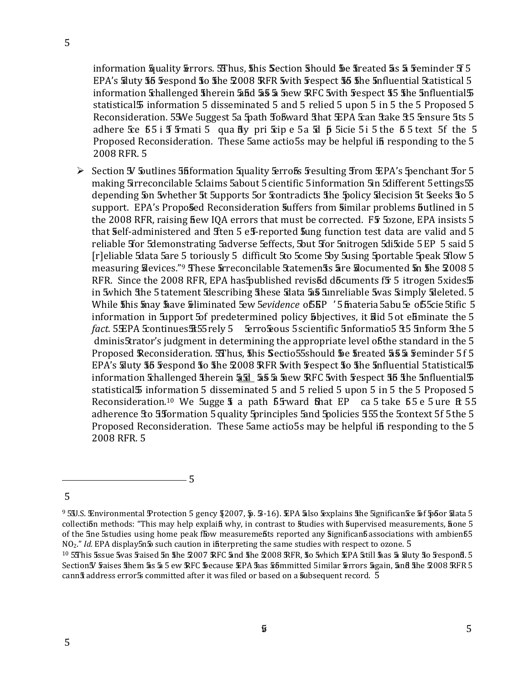information Squality Serrors. SThus, Shis Section Should Se Streated So 5 Feminder St 5 EPA's Suty 55 Fespond 50 5he 2008 RFR 5 with Fespect 55 5he 5nfluential 5tatistical 5 information Schallenged Sherein 55d 55 5 Snew RFC Swith Sespect 55 She 5nfluential 5 statistical 5 information 5 disseminated 5 and 5 relied 5 upon 5 in 5 the 5 Proposed 5 Reconsideration. 55We 5uggest 5a 5path Sobward Shat EPA 5can Stake St5 5ensure 5ts 5 adhere  $\overline{3}$ ce  $\overline{5}$  5 i  $\overline{3}$   $\overline{5}$   $\overline{5}$   $\overline{5}$   $\overline{4}$   $\overline{5}$   $\overline{4}$   $\overline{5}$   $\overline{5}$   $\overline{5}$   $\overline{5}$  is  $\overline{5}$   $\overline{5}$   $\overline{5}$   $\overline{5}$   $\overline{5}$   $\overline{5}$   $\overline{5}$   $\overline{5}$   $\overline{5}$   $\overline{5}$ Proposed Reconsideration. These 5ame actio5s may be helpful in responding to the 5 2008 RFR. 5

Section 5 Sputlines 55 formation Squality Serros 5 Fesulting 5 rom EPA's Spenchant 5 or 5 making 5 Sirreconcilable 5 claims 5 about 5 cientific 5 information 5 in 5 different 5 ettings 5 5 depending 5 on 5 whether 5t 5 upports 5 or 5 contradicts 5 he 5 policy 5 decision 5t 5 eeks 5 o 5 support. EPA's Proposed Reconsideration suffers from similar problems butlined in 5 the 2008 RFR, raising fiew IQA errors that must be corrected. F5 50zone, EPA insists 5 that Self-administered and Sten 5 eS-reported Sung function test data are valid and 5 reliable 5 for 5 demonstrating 5 adverse 5 effects, 5 but 5 for 5 nitrogen 5 di5xide 5 EP 5 said 5 [r]eliable 5data 5are 5 toriously 5 difficult 5to 5come 5by 5using 5portable 5peak 5flow 5 measuring Silevices."<sup>9</sup> These Spreconcilable Statemen<sup>1</sup>s are Socumented Sn 5he 2008 5 RFR. Since the 2008 RFR, EPA has 5 published revised do Equinents for 5 it rogen 5 xides 5 in 5 which the 5 tatement Sdescribing these Sdata 5 a 5 Sunreliable 5 was 5 simply Sdeleted. 5 While 5his 5nay 5ave Silminated 5ew 5evidence of SBP '5 5nateria 5abu 5e of 5 5cie 5tific 5 information in Support 5 of predetermined policy Sobjectives, it slid 5 ot eliminate the 5 fact. 5 EPA Scontinues \$155 rely 5 Erro Seous 5 scientific 5nformatio 5 35 5nform 3 the 5 dminis5trator's judgment in determining the appropriate level ob the standard in the 5 Proposed Reconsideration. 5 Thus, this Sectio 55 should be freated 55 5 Feminder 5 f 5 EPA's Follow 55 5 Fespond 50 5 he 5008 RFR 5 with 5 respect 50 5 he 5 nfluential 5 tatistical 5 statistical 5 information 5 disseminated 5 and 5 relied 5 upon 5 in 5 the 5 Proposed 5 Reconsideration.<sup>10</sup> We 5ugge 5 a path 55 ward that EP ca 5 take 55 e 5 ure ft 55 adherence 5to 55 formation 5 quality 5 principles 5 and 5 policies 555 the 5 context 5f 5 the 5 Proposed Reconsideration. These 5ame actio5s may be helpful if responding to the 5 2008 RFR. 5

 $\overline{5}$ 

<sup>5</sup> 

<sup>&</sup>lt;sup>9</sup> 5 J.S. Environmental Protection 5 gency 52007, 5. 5-16). EPA also Explains the Significan Se 5f 50 for stata 5 collection methods: "This may help explain why, in contrast to studies with supervised measurements, none 5 of the 5ne 5studies using home peak flow measuremelits reported any significanb associations with ambienb5  $NO<sub>2</sub>$ ." *Id.* EPA display5n5 such caution in interpreting the same studies with respect to ozone. 5

<sup>&</sup>lt;sup>10</sup> 5This 5ssue 5vas 5 aised 5n 5he 2007 RFC 5nd 5he 2008 RFR, 50 5 which EPA 5 till 5has 5a 5 luty 50 5 espond. 5 Section Y Faises them as a 5 ew RFC because EPA has tommitted 5 imilar terrors again, and the 2008 RFR 5 cann<sup>'</sup>s address error<sup>5</sup>s committed after it was filed or based on a subsequent record. 5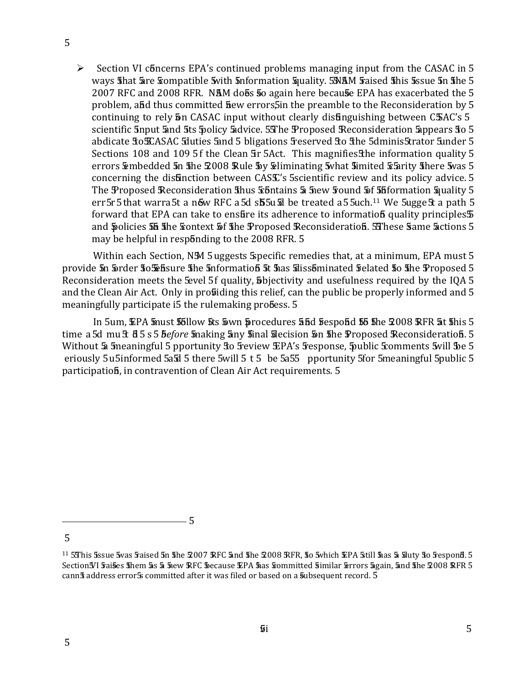$\triangleright$  Section VI concerns EPA's continued problems managing input from the CASAC in 5 ways shat are sompatible swith snformation squality. SNAM saised shis sssue sn she 5 2007 RFC and 2008 RFR. NAM dobs 50 again here because EPA has exacerbated the 5 problem, and thus committed hew errors and the preamble to the Reconsideration by 5 continuing to rely 5n CASAC input without clearly distinguishing between CSAC's 5 scientific 5nput 5and 5ts 5policy 5advice. 5The Proposed Reconsideration 5appears 50 5 abdicate Sto SCASAC Sduties Sand 5 bligations Seserved Sto Sthe 5dminis 5trator Sunder 5 Sections 108 and 109 5f the Clean Sir 5Act. This magnifies Sthe information quality 5 errors Embedded 5n 5he 2008 Rule 5y Eliminating 5 what 5 imited 5 Sarity 5 here 5 was 5 concerning the disfinction between CASS's 5scientific review and its policy advice. 5 The Proposed Reconsideration shus *Shitains & Snew Sound Sf Shiformation Squality 5* err 5r 5 that warra 5t a new RFC a 5d sb 5u & be treated a 5 5uch.<sup>11</sup> We 5ugge 5t a path 5 forward that EPA can take to ensuite its adherence to information quality principles 5 and policies 55 the sontext 5f the Proposed Reconsideration. SThese Same actions 5 may be helpful in responding to the 2008 RFR. 5

Within each Section, NM 5 uggests Specific remedies that, at a minimum, EPA must 5 provide 5n 5rder 50 5 bs 5m 5 5m 5 5m 5 bs 5m 5 5m 5 5m 5 bs 5m 5 bs 5m 5 bs 5m 6 5m 6 5m 6 5m 6 5m Reconsideration meets the Sevel 5f quality, **S**bjectivity and usefulness required by the IQA 5 and the Clean Air Act. Only in probiding this relief, can the public be properly informed and 5 meaningfully participate i5 the rulemaking probess. 5

In 5um, EPA must 55llow 5ts 5wn procedures 55d 5espond 55 5he 2008 RFR 5t 5his 5 time a 5d mu £ 65 s 5 before making any final solecision on the Proposed Reconsideration. 5 Without & 5 meaningful 5 pportunity to 5 eview EPA's 5 esponse, 5 ublic 5 comments 5 will 5 be 5 eriously 5 u5informed 5a5d 5 there 5will 5 t 5 be 5a55 pportunity 5 for 5 meaningful 5 public 5 participation, in contravention of Clean Air Act requirements. 5

- 5

<sup>&</sup>lt;sup>11</sup> 5This 5ssue 5vas 5 aised 5n 5he 2007 RFC 5nd 5he 2008 RFR, 50 5 which EPA 5 till 5has 5a 5 luty 50 5 espond. 5 Section IVI Faises 5 hem 5 s 5 5 wew RFC Secause EPA Sas Sommitted Similar Serrors 5 gain, 5nd 5 he 2008 RFR 5 cann<sup>5</sup> address error<sup>5</sup>s committed after it was filed or based on a 5ubsequent record. 5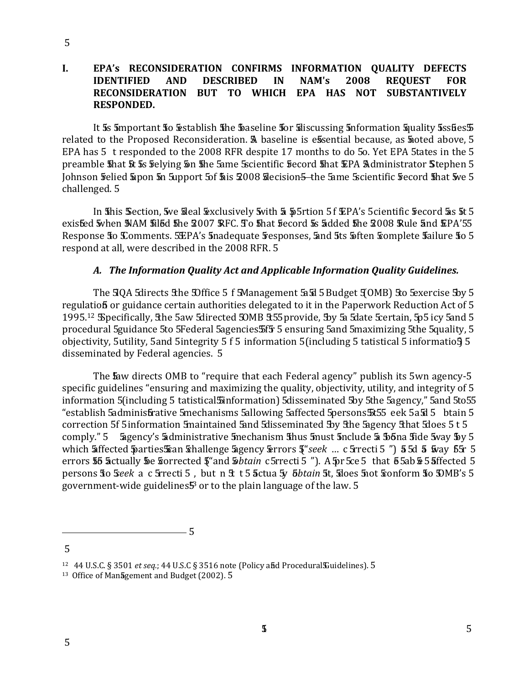### **I. EPA's RECONSIDERATION CONFIRMS INFORMATION QUALITY DEFECTS IDENTIFIED AND DESCRIBED IN NAM's 2008 REQUEST FOR RECONSIDERATION BUT TO WHICH EPA HAS NOT SUBSTANTIVELY RESPONDED.**

EPA has 5  $\,$  t responded to the 2008 RFR despite 17 months to do 5o. Yet EPA 5tates in the 5 It  $\overline{\bf 5}$ s  $\overline{\bf 5}$ mportant  $\overline{\bf 5}$ o  $\overline{\bf 5}$ stablish  $\overline{\bf 5}$ he  $\overline{\bf 5}$ aseline  $\overline{\bf 5}$ or  $\overline{\bf 5}$ liscussing  $\overline{\bf 5}$ nformation  $\overline{\bf 5}$ quality  $\overline{\bf 5}$ ss $\overline{\bf 6}$ es $\overline{\bf 5}$ related to the Proposed Reconsideration. A baseline is e**s**sential because, as **s**ioted above, 5 preamble that it is felying in the fame Scientific fecord that EPA Administrator Stephen 5  $\,$ Johnson <mark>Felied Sipon 5n Support 5of Sis 2008 S</mark>lecision<del>5 -</del>the Same Scientific Fecord <mark>5</mark>hat Sve 5 challenged. 5

In this Section, we tieal texclusively twith a p5rtion 51  $\mathbf EPA$ 's 5cientific frecord as it 5  $\mathbf E$ exisfed 5vhen NAM 5il5d 5he 2007 RFC. To 5hat 5 ecord 5s 5dded 5he 2008 Rule 5nd EPA'55 Response **5**o Comments. 5£PA's 5nadequate 5 esponses, 5and 5ts 5often Somplete 5 ailure 50 5 respond at all, were described in the 2008 RFR. 5

# A. The Information Quality Act and Applicable Information Quality Guidelines.

The  $\mathfrak{A}Q$ A  $\mathfrak{A}$ irects  $\mathfrak{A}$ he  $\mathfrak{D}$ ffice 5 f  $\mathfrak{A}$  anagement  $\mathfrak{A}$  $\mathfrak{A}$  5 Budget  $\mathfrak{A}$ (OMB)  $\mathfrak{A}$ o  $\mathfrak{B}$ xercise  $\mathfrak{B}$ y 5  $1995.^{12}$   $\rm{S}\rm{p}$ ecifically,  $\rm{the}$  5aw  $\rm{S}\rm{d}$ irected  $\rm{30MB}$   $\rm{355}$  provide,  $\rm{39y}$   $\rm{5}$   $\rm{5d}$  ate  $\rm{5e}$ rtain,  $\rm{5p}$ 5 icy  $\rm{5and}$   $\rm{5d}$ regulatio**f** or guidance certain authorities delegated to it in the Paperwork Reduction Act of 5 procedural 5guidance 5to 5Federal 5agencies:5f5r 5 ensuring 5and 5maximizing 5the 5quality, 5  $\,$  objectivity, 5 $\,$ utility, 5 $\,$ and 5 $\,$ integrity 5 f 5  $\,$ information 5 $\,$ (including 5  $\,$ tatistical 5 informatio $\,$ 5 $\,$ 5 $\,$ disseminated by Federal agencies. 5

The law directs OMB to "require that each Federal agency" publish its 5wn agency-5  $\,$  information 5(including 5  $\,$  tatistical $\,$  Sinformation) 5disseminated 5by 5the 5agency," 5and 5to55  $\,$ "establish  $5$ adminis ${\bf \bar{b}}$ rative  $5$ mechanisms  $5$ allowing  $5$ affected  $5$ persons $5$ t $55\,$  eek  $5$  a $5$ d $5\,$  btain  $5\,$ comply." 5 Sagency's Sadministrative Smechanism Shus Smust Snclude Sa Sobna Side Sway Soy 5 which **5**iffected **\$**parties\$an \$hallenge \$gency \$rrors \$"*seek … c* 5rrecti 5 ") \$5d \$ \$vay \$5r errors **55 S**ctually **5**e Sorrected §"and S*btain c* 5rrecti 5 "). A 5pr 5ce 5 that 6 5ab S 5 Sffected persons **S**o Seek a c Srrecti 5 , but n St t 5 <mark>a</mark>ctua Sy *bbtain* St, Sdoes Snot Sonform So SDMB's 5 specific guidelines "ensuring and maximizing the quality, objectivity, utility, and integrity of 5 s - - - - - " " "-- " ° 0 ° " 
government-wide guidelines ${\bf \mathsf{{F}}}$  or to the plain language of the law.  ${\bf 5}$ 

 $\sim$  5

<sup>&</sup>lt;sup>12</sup> 44 U.S.C. § 3501 *et seq.*; 44 U.S.C § 3516 note (Policy a**ñ**d Procedural**S**uidelines). 5<br><sup>13</sup> Office of Man**5**gement and Budget (2002). 5

ce of Man**5**gement and Budget (2002). 5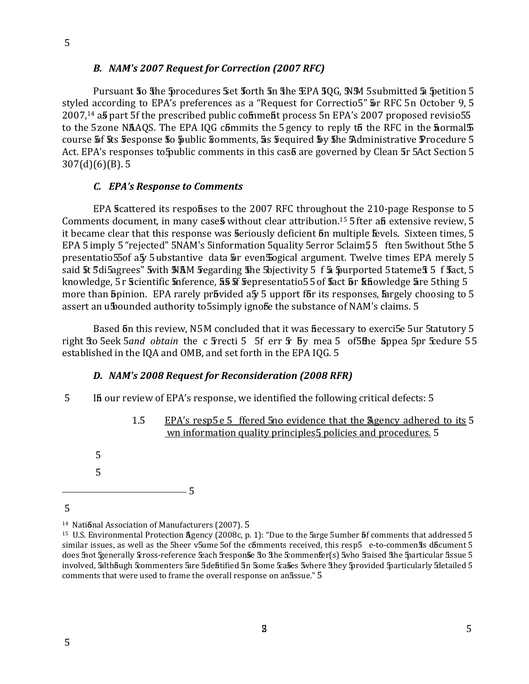### B. NAM's 2007 Request for Correction (2007 RFC)

Pursuant 50 5 he 5 procedures 5 et 5 orth 5 n 5 he EPA 5 QG, SNM 5 submitted 5 5 petition 5 styled according to EPA's preferences as a "Request for Correctio5"  $\overline{\mathbf{5}}$ r RFC 5n October 9, 5 2007.<sup>14</sup> a**5** part 5f the prescribed public comment process 5n EPA's 2007 proposed revisio55 to the 5zone NAAQS. The EPA IQG commits the 5 gency to reply to the RFC in the **Sormal** 5 course 5f 5ts 5 esponse 50 public somments, 5s 5 equired 5y 5he Administrative Procedure 5 Act. EPA's responses to 5 public comments in this cas are governed by Clean 5r 5 Act Section 5  $307(d)(6)(B)$ . 5

### C. EPA's Response to Comments

EPA Scattered its responses to the 2007 RFC throughout the 210-page Response to 5 Comments document, in many cases without clear attribution.<sup>15</sup> 5 fter an extensive review, 5 it became clear that this response was seriously deficient on multiple Evels. Sixteen times, 5 EPA 5 imply 5 "rejected" 5NAM's 5information 5quality 5error 5claim 55 ften 5 without 5the 5 presentatio55of a5y 5 ubstantive data 5r even 50 gical argument. Twelve times EPA merely 5 said 5t 5di5agrees" 5with NAM 5 egarding 5 he 5 bjectivity 5 f 5 5 purported 5 tateme 5 5 f 5 act, 5 knowledge, 5 r Scientific Snference, 55 Sf Sepresentatio5 5 of Sact Sor Sthowledge Sare 5thing 5 more than 5pinion. EPA rarely pr5vided a5 5 upport f5r its responses, fargely choosing to 5 assert an ubounded authority to 5 simply ignobe the substance of NAM's claims. 5

Based 5n this review, N5M concluded that it was fiecessary to exerci5e 5ur 5tatutory 5 right Eto 5eek 5and obtain the c 5recti 5 5f err 5 by mea 5 of 5the 5ppea 5pr 5cedure 55 established in the IQA and OMB, and set forth in the EPA IQG. 5

### D. NAM's 2008 Request for Reconsideration (2008 RFR)

- 5 If our review of EPA's response, we identified the following critical defects: 5
	- EPA's resp5e 5 ffered 5no evidence that the Agency adhered to its 5  $1.5$ wn information quality principles<sup>5</sup> policies and procedures. 5

5  $\overline{5}$ 

 $\overline{5}$ 

<sup>&</sup>lt;sup>14</sup> National Association of Manufacturers (2007). 5

<sup>&</sup>lt;sup>15</sup> U.S. Environmental Protection Agency (2008c, p. 1): "Due to the Sarge 5umber 5f comments that addressed 5 similar issues, as well as the 5heer v5ume 5of the c6mments received, this resp5 e-to-commen5s d6cument 5 does 5not Senerally Eross-reference Seach Sesponse Sto She Scommenser(s) 5who Staised She Sparticular Sissue 5 involved, 5alth bugh Scommenters 5are 5debtified 5n Some Scases 5where 5hey 5provided 5particularly 5detailed 5 comments that were used to frame the overall response on an5ssue." 5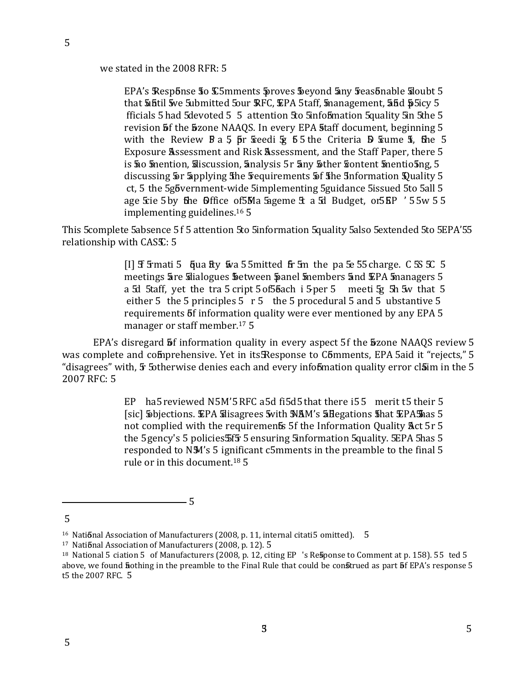we stated in the 2008 RFR: 5

EPA's Response to C5mments proves beyond any reasonable sloubt 5 that bintil we submitted Sour RFC, EPA 5taff, management, 55d p5icy 5 fficials 5 had 5 devoted 5 5 attention 5 to 5 information 5 quality 5 in 5 the 5 revision 5f the 5zone NAAQS. In every EPA 5taff document, beginning 5 with the Review  $B$  a 5  $\bar{p}$ r steedi  $\bar{x}$  55 the Criteria  $\bar{D}$  stume  $\bar{x}$ , the 5 Exposure Assessment and Risk Assessment, and the Staff Paper, there 5 is 50 mention, Siscussion, Enalysis 5r Eny Sther Sontent Smentio 5ng, 5 discussing 5r 5applying the 5 equirements 5 f the Information Duality 5 ct, 5 the 5g6vernment-wide 5implementing 5guidance 5issued 5to 5all 5 age Scie 5 by the Office of 5Ma Sageme E a Sd Budget, or 5 KP ' 5 5w 5 5 implementing guidelines.<sup>16</sup> 5

This 5 complete 5 absence 5 f 5 attention 5 to 5 information 5 quality 5 also 5 extended 5 to 5 EPA' 55 relationship with CASS: 5

> [I]  $\overline{f}$  5 finati 5  $\overline{f}$  final final final final final final the past 55 for the set  $\overline{f}$  5  $\overline{f}$  5  $\overline{f}$  5  $\overline{f}$  5  $\overline{f}$  5  $\overline{f}$  5  $\overline{f}$  5  $\overline{f}$  5  $\overline{f}$  5  $\overline{f}$  5  $\overline{f}$  5  $\overline{f}$ meetings are silalogues between panel members and EPA managers 5 a 5d 5taff, yet the tra 5 cript 5 of 5 bach i 5 per 5 meeti 5g 5h 5w that 5 either 5 the 5 principles  $5 \text{ r} 5$  the 5 procedural 5 and 5 ubstantive 5 requirements 5f information quality were ever mentioned by any EPA 5 manager or staff member.<sup>17</sup> 5

EPA's disregard **5** finformation quality in every aspect 5f the **5** zone NAAOS review 5 was complete and comprehensive. Yet in its Response to Comments, EPA 5aid it "rejects," 5 "disagrees" with, 5 5 otherwise denies each and every information quality error claim in the 5 2007 RFC: 5

> EP ha5 reviewed N5M'5 RFC a5d fi5d5 that there i55 merit t5 their 5 [sic] Sobjections. EPA Sdisagrees 5 with NAM's 5 Begations 5 hat EPA Shas 5 not complied with the requirements 5f the Information Quality Act 5r 5 the 5 gency's 5 policies 5f5 5 ensuring 5information 5quality. 5EPA 5has 5 responded to N5M's 5 ignificant c5mments in the preamble to the final 5 rule or in this document.<sup>18</sup> 5

<sup>5</sup> 

<sup>&</sup>lt;sup>16</sup> National Association of Manufacturers (2008, p. 11, internal citati5 omitted). 5

<sup>&</sup>lt;sup>17</sup> National Association of Manufacturers (2008, p. 12). 5

<sup>&</sup>lt;sup>18</sup> National 5 ciation 5 of Manufacturers (2008, p. 12, citing EP 's Response to Comment at p. 158). 55 ted 5 above, we found hothing in the preamble to the Final Rule that could be construed as part 5f EPA's response 5 t5 the 2007 RFC. 5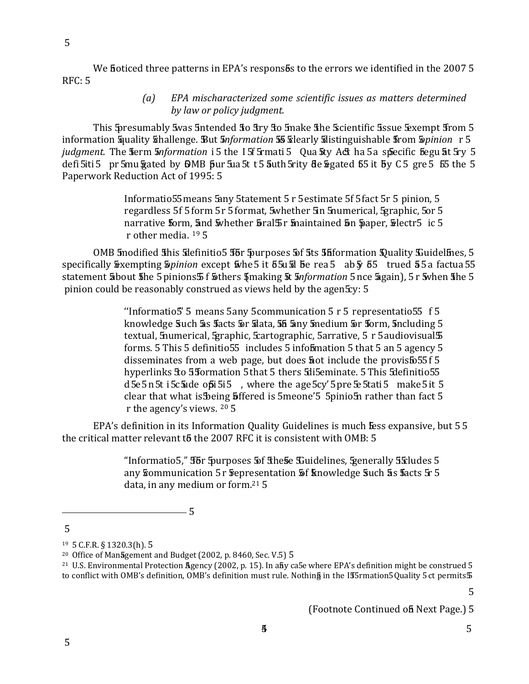5

We fioticed three patterns in EPA's respons bs to the errors we identified in the 2007 5 **RFC: 5** 

> EPA mischaracterized some scientific issues as matters determined  $(a)$ by law or policy judgment.

This 5 presumably 5 was 5 ntended 50 5 ry 50 5 make 5 he 5 scientific 5 ssue 5 xempt 5 rom 5 information Squality Schallenge. But Snformation 55 Selearly Solistinguishable Strom Sopinion r 5 *judgment*. The ferm *information* i 5 the 15f 5 mati 5 Qua ity Act ha 5 a specific begu at 5 ry 5 defi 5iti 5 pr 5mu Frated by 6MB pur 5 as 5t t 5 auth 5 rity de Segated 55 it by C 5 gre 5 55 the 5 Paperwork Reduction Act of 1995: 5

> Informatio55 means 5any 5tatement 5 r 5 estimate 5f 5 fact 5r 5 pinion, 5 regardless 5f 5 form 5r 5 format, 5whether 5in 5 numerical, 5 graphic, 5 or 5 narrative form, and swhether bral 5 r maintained on paper, blectr5 ic 5 r other media.  $19.5$

OMB 5 modified This Sdefinitio 5 5 for 5 purposes 5 f 5ts 5 h formation Spuality Suidelines, 5 specifically Exempting Spinion except Whe 5 it 55u & 5e rea 5 ab § 55 trued 55a factua 55 statement about the 5 pinions 5 f thers 4 making 5t 5*nformation* 5 nce 5 gain), 5 r 5 when the 5 pinion could be reasonably construed as views held by the agen Ey: 5

> "Informatio5" 5 means 5any 5 communication 5 r 5 representatio55 f 5 knowledge Such 5s facts 5r 5 ata, 55 5ny 5 nedium 5r 50rm, 5 ncluding 5 textual, 5 numerical, 5 graphic, 5 cartographic, 5 arrative, 5 r 5 audiovisual 5 forms. 5 This 5 definitio 55 includes 5 information 5 that 5 an 5 agency 5 disseminates from a web page, but does  $\frac{1}{2}$  ot include the provisto 55 f 5 hyperlinks Sto 55formation 5 that 5 thers 5 sti5eminate. 5 This 5 definitio 55  $d$  5e 5 n 5t i 5c  $\frac{1}{2}$ de opi 5i 5, where the age 5cy' 5 pre 5e 5tati 5 make 5 it 5 clear that what is Being 5 ffered is 5 meone' 5 5 pinio 5 nrather than fact 5 r the agency's views. 20 5

EPA's definition in its Information Quality Guidelines is much fess expansive, but 55 the critical matter relevant to the 2007 RFC it is consistent with OMB: 5

> "Informatio5," For 5 purposes 5 of The 5 Example Units, 5 apprecially 5 Feludes 5 any frommunication 5r fepresentation 5f knowledge 5uch 5s facts 5r 5 data, in any medium or form.<sup>21</sup> 5

 $\overline{5}$ 

 $-5$ 

 $\overline{5}$ 

(Footnote Continued of Next Page.) 5

 $19\,$  5 C.F.R. § 1320.3(h). 5

<sup>&</sup>lt;sup>20</sup> Office of Management and Budget (2002, p. 8460, Sec. V.5) 5

<sup>&</sup>lt;sup>21</sup> U.S. Environmental Protection Agency (2002, p. 15). In aby ca5e where EPA's definition might be construed 5 to conflict with OMB's definition, OMB's definition must rule. Nothing in the IT5 rmation5 Quality 5 ct permits 5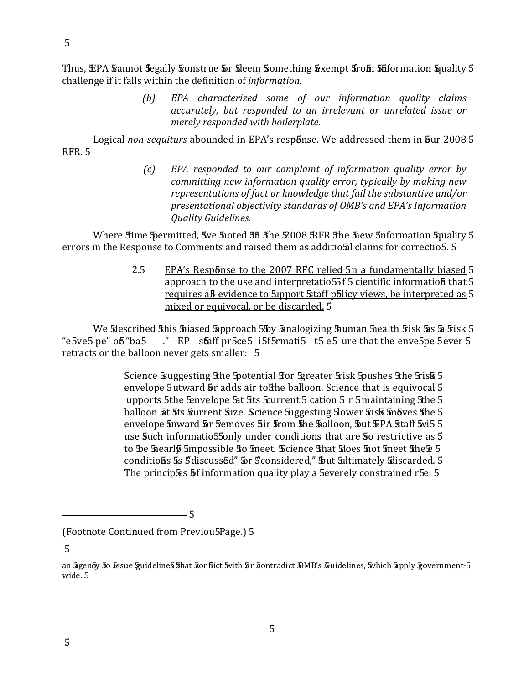Thus, EPA Sannot Segally Sonstrue 5r Sileem Something Sexempt 5rom 55 formation Squality 5 challenge if it falls within the definition of information.

> EPA characterized some of our information quality claims  $(b)$ accurately, but responded to an irrelevant or unrelated issue or merely responded with boilerplate.

Logical non-sequiturs abounded in EPA's response. We addressed them in bur 2008 5 **RFR. 5** 

> $\left( c\right)$ EPA responded to our complaint of information quality error by committing new information quality error, typically by making new representations of fact or knowledge that fail the substantive and/or presentational objectivity standards of OMB's and EPA's Information **Quality Guidelines.**

Where stime Spermitted, 5we 5noted 55 She 2008 RFR She 5new 5nformation 5quality 5 errors in the Response to Comments and raised them as additiosal claims for correctio5. 5

> 2.5 EPA's Response to the 2007 RFC relied 5n a fundamentally biased 5 approach to the use and interpretatio55f 5 cientific information that 5 requires all evidence to Support Staff policy views, be interpreted as 5 mixed or equivocal, or be discarded. 5

We Sdescribed This To ased Supproach 5 by Sanalogizing Thuman Thealth Fisk Sas Sa Fisk 5 ." EP staff pr 5ce 5 i 5f 5rmati 5 t 5 e 5 ure that the enve 5pe 5 ever 5 "e5ve5 pe" o<del>b</del> "ba5 retracts or the balloon never gets smaller: 5

> Science Suggesting 5the Spotential Stor Spreater Srisk Spushes 5the Srisk 5 envelope 5utward 5r adds air to the balloon. Science that is equivocal 5 upports 5the Envelope 5at 5ts Eurrent 5 cation 5 r 5 maintaining 5the 5 balloon 5t 5ts furrent Size. Science 5uggesting 5lower 5 is k 5n bves 5he 5 envelope 5nward 5r 5emoves 5ir 5rom 5he 5alloon, 5ut EPA 5taff 5vi5 5 use Such informatio55only under conditions that are So restrictive as 5 to be 5 hearl 5 5 mpossible 50 5 meet. Science 5 hat 5 does 5 not 5 meet 5 he 5 conditions 5s 5discussed" 5r 5considered," 5ut 5ultimately 5discarded. 5 The principses 5f information quality play a 5everely constrained r5e: 5

 $-5$ 

 $\overline{5}$ 

<sup>(</sup>Footnote Continued from Previou5Page.) 5

an Sigenby 50 5ssue §uideline5 5hat Sonflict 5vith 5r Sontradict DMB's Suidelines, 5which 5pply §overnment-5 wide. 5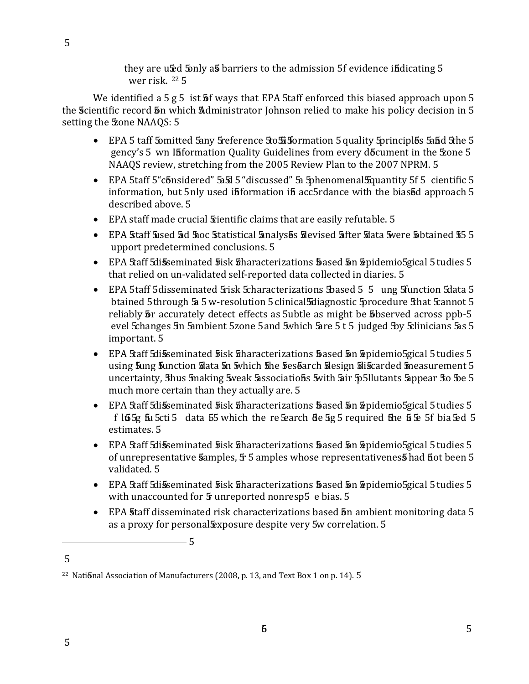they are used 5 only as barriers to the admission 5f evidence in dicating 5 wer risk.  $22\frac{5}{7}$ 

We identified a  $5 g 5$  ist  $\overline{5} f$  ways that EPA 5taff enforced this biased approach upon 5 the Scientific record 5n which Administrator Johnson relied to make his policy decision in 5 setting the **Zone NAAQS**: 5

- EPA 5 taff 5 omitted 5 any 5 reference 5 to 5 3 formation 5 quality 5 principles 5 and 5 he 5 gency's 5 wn Ififormation Quality Guidelines from every do Ecument in the 5 xone 5 NAAOS review, stretching from the 2005 Review Plan to the 2007 NPRM. 5
- EPA 5taff 5 "considered" 5 5 "discussed" 5 a 5 phenomenal 5 quantity 5 f 5 cientific 5 information, but 5nly used ififormation if acc5rdance with the biased approach 5 described above. 5
- EPA staff made crucial *Sientific claims that are easily refutable.* 5
- EPA Staff Sised 5d Stoc Statistical Sinalyses Solevised Sifter Stata Swere Sobtained 55 5 upport predetermined conclusions. 5
- EPA Staff Sdisseminated 5 isk Sharacterizations 5 ased 5 n Spidemio Sgical 5 tudies 5 that relied on un-validated self-reported data collected in diaries. 5
- EPA 5taff 5 disseminated 5 risk 5 characterizations 5 based 5 5 ung 5 function 5 data 5 btained 5through 5a 5 w-resolution 5 clinical 5diagnostic 5procedure 5 hat 5cannot 5 reliably **5** r accurately detect effects as 5ubtle as might be **5**bserved across ppb-5 evel Schanges 5n 5ambient 5zone 5 and 5 which 5 are 5 t 5 judged 5 by Sclinicians 5 as 5 important. 5
- EPA Staff Sdisseminated 5 isk Sharacterizations 5 ased 5n Spidemio Sgical 5 tudies 5 using 5ung 5unction 5 lata 5n 5 which 5 he 5 es barch 5 lesign 5 is carded 5 measurement 5 uncertainty, thus 5 making 5 weak 5 associations 5 with 5 air 5 5 llutants 5 appear 5 to 5 e 5 much more certain than they actually are. 5
- EPA Staff Sdisseminated 5 isk Sharacterizations 5 ased 5n Spidemio Sgical 5 tudies 5 f  $\log 5$  fu 5cti 5 data 55 which the refearch de 5g 5 required the  $\frac{1}{2}$  5 f bia 5ed 5 estimates. 5
- EPA Staff Sdisseminated 5 isk Sharacterizations 5 ased 5n Spidemio Sgical 5 tudies 5 of unrepresentative Samples, 5 5 amples whose representativenes 5 had fiot been 5 validated. 5
- EPA Staff Sdisseminated 5 isk Sharacterizations 5 ased 5n Spidemio Sgical 5 tudies 5 with unaccounted for 5 unreported nonresp5 e bias. 5
- EPA 5taff disseminated risk characterizations based 5n ambient monitoring data 5 as a proxy for personal Exposure despite very 5w correlation. 5

5

<sup>&</sup>lt;sup>22</sup> National Association of Manufacturers (2008, p. 13, and Text Box 1 on p. 14). 5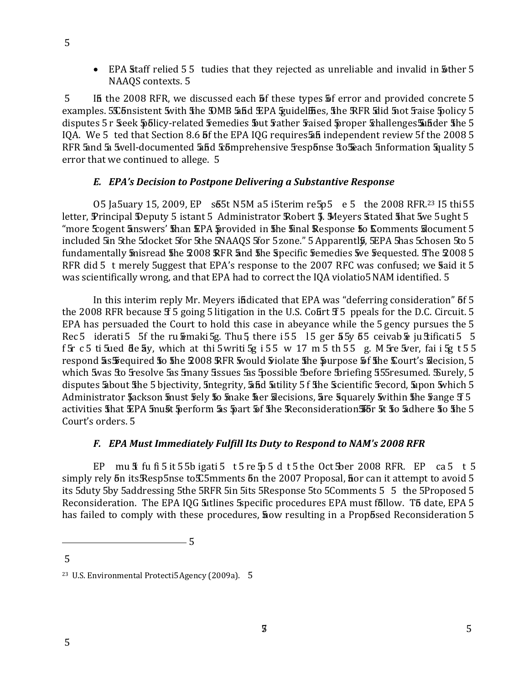• EPA Staff relied 55 tudies that they rejected as unreliable and invalid in 5 ther 5 NAAQS contexts. 5

If the 2008 RFR, we discussed each 5f these types 5f error and provided concrete 5  $5^{\circ}$ examples. 5 C bnsistent 5 with the DMB 5 and EPA Spuidel fies, the RFR 5 did 5 not 5 raise 5 policy 5 disputes 5 r Seek Spolicy-related Semedies Sut Sather Saised Sproper Schallenges Subder She 5 IQA. We 5 ted that Section 8.6 5f the EPA IQG requires 5 independent review 5f the 2008 5 RFR 5and 5a 5well-documented 5and 5comprehensive 5 esponse 50 5 each 5 nformation 5 quality 5 error that we continued to allege. 5

# E. EPA's Decision to Postpone Delivering a Substantive Response

05 Ja5uary 15, 2009, EP s55t N5M a5 i5terim re5p5 e 5 the 2008 RFR.<sup>23</sup> I5 thi55 letter, Principal Deputy 5 istant 5 Administrator Robert 5. Meyers Stated 5hat 5ve 5ught 5 "more Scogent Enswers' 5han EPA Sprovided in 5he 5inal Response 50 Comments Slocument 5 included 5in 5the 5docket 5for 5the 5NAAQS 5for 5 zone." 5 Apparentl 5, 5EPA 5has 5chosen 5to 5 fundamentally Snisread 5he 2008 RFR 5nd 5he Specific Semedies 5ve Sequested. The 2008 5 RFR did 5 t merely 5uggest that EPA's response to the 2007 RFC was confused; we said it 5 was scientifically wrong, and that EPA had to correct the IQA violatio5 NAM identified. 5

In this interim reply Mr. Meyers indicated that EPA was "deferring consideration" 5f 5 the 2008 RFR because  $f$  5 going 5 litigation in the U.S. Court  $f$  5 ppeals for the D.C. Circuit. 5 EPA has persuaded the Court to hold this case in abevance while the 5 gency pursues the 5 Rec 5 iderati 5 5f the ru Emaki 5g. Thu 5 there i 55 15 ger 55y 65 ceivab E ju Stificati 5 5 f 5r c 5 ti 5 ued de 5y, which at thi 5 writi 5g i 55 w 17 m 5 th 55 g. M 5 re 5 ver, fai i 5g t 55 respond 5x Frequired 50 5he 2008 RFR would violate 5he purpose 5f 5he Court's Silecision, 5 which 5was 5o 5 resolve 5as 5 many 5 ssues 5as 5 possible 5 before 5 briefing 555 resumed. Surely, 5 disputes about the 5 bjectivity, 5ntegrity, 5nd 5itility 5 f the Scientific 5 record, 5 upon 5 which 5 Administrator \$ackson \$nust \$ely \$0 \$nake \$er \$decisions, 5re \$quarely \$vithin \$he \$ange \$ 5 activities shat EPA 5 must perform as part of the Reconsideration 56 r 5t to adhere to the 5 Court's orders, 5

# F. EPA Must Immediately Fulfill Its Duty to Respond to NAM's 2008 RFR

EP mu  $\frac{1}{3}$  fu fi 5 it 5 5b igati 5 t 5 re  $\frac{1}{2}$  5 d t 5 the Oct Stoer 2008 RFR. EP ca 5 t 5 simply rely 5n its Resp 5nse to C5mments 5n the 2007 Proposal, flor can it attempt to avoid 5 its 5duty 5by 5addressing 5the 5RFR 5in 5its 5Response 5to 5Comments 5 5 the 5Proposed 5 Reconsideration. The EPA IQG 5 utlines 5 specific procedures EPA must follow. To date, EPA 5 has failed to comply with these procedures, **how** resulting in a Proposed Reconsideration 5

 $-$  5

<sup>&</sup>lt;sup>23</sup> U.S. Environmental Protecti5 Agency (2009a). 5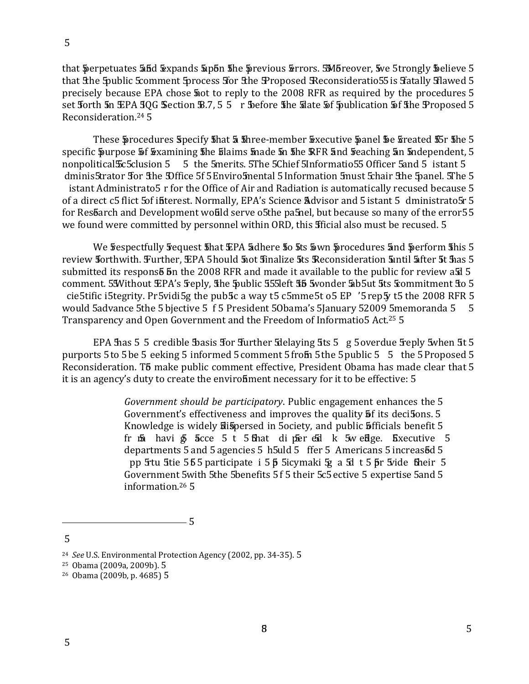that Superpetuates 55d Expands Supon the Servious Errors. 5Moreover, Sve 5trongly Solieve 5 that 5the 5public Scomment 5process 5or 5the 9Proposed 5 Reconsideratio55 is 5fatally 5 lawed 5 precisely because EPA chose **5** ot to reply to the 2008 RFR as required by the procedures 5 set forth 5n EPA 50G Section B.7, 5 5 r Sefore the State of Sublication of the Proposed 5 Reconsideration.<sup>24</sup> 5

These procedures Specify shat 5 shree-member Sexecutive panel be streated 55r she 5 specific Spurpose 5f Examining the filaims made in the RFR and reaching an independent, 5 5 the 5merits. 5The 5Chief 5Informatio55 Officer 5and 5 istant 5 nonpolitical 5 c5 clusion 5 dminis5trator for the Diffice 5f 5 Enviro5 mental 5 Information 5 must 5 hair the 5 anel. 5 The 5 istant Administrato5 r for the Office of Air and Radiation is automatically recused because 5 of a direct c5 flict 5 of ifiterest. Normally, EPA's Science Advisor and 5 istant 5 dministrato 5r 5 for Resbarch and Development would serve o5the pa5nel, but because so many of the error55 we found were committed by personnel within ORD, this fficial also must be recused. 5

We frespectfully frequest that EPA 5 dhere to 5ts sown procedures and perform this 5 review forthwith. Further, EPA 5 hould 5 ot 5 inalize 5ts Reconsideration 5 until 5 fter 5t 5 as 5 submitted its respons<sup>5</sup> 5n the 2008 RFR and made it available to the public for review as 5 comment. 55Without EPA's 5reply, the 5public 555left 55 5wonder 5ab5ut 5ts 5commitment 50 5 cie5tific i5tegrity. Pr5vidi5g the pub5c a way t5 c5mme5t o5 EP '5 rep5y t5 the 2008 RFR 5 would 5advance 5the 5 bjective 5 f 5 President 50bama's 5January 52009 5memoranda 5 5 Transparency and Open Government and the Freedom of Informatio5 Act.<sup>25</sup> 5

EPA has 5 5 credible basis for further Edelaying 5ts 5 g 5 overdue 5 reply 5 when 5t 5 purports 5 to 5 be 5 eeking 5 informed 5 comment 5 from 5 the 5 public 5 5 the 5 Proposed 5 Reconsideration. T5 make public comment effective, President Obama has made clear that 5 it is an agency's duty to create the enviroliment necessary for it to be effective: 5

> Government should be participatory. Public engagement enhances the 5 Government's effectiveness and improves the quality **5**f its deci5ons. 5 Knowledge is widely Silspersed in 5 ociety, and public 5 fficials benefit 5 fr  $\overline{50}$  havi  $\overline{5}$  acce 5 t 5 that dipered k 5w edge. Executive 5 departments 5 and 5 agencies 5 h5uld 5 ffer 5 Americans 5 increasod 5 pp 5tu 5tie 555 participate i 55 5 5 icymaki 5g a 5d t 55 fr 5 vide fine ir 5 Government 5with 5the 5benefits 5f 5 their 5c5 ective 5 expertise 5and 5 information.<sup>26</sup> 5

 $\overline{5}$ 

<sup>&</sup>lt;sup>24</sup> See U.S. Environmental Protection Agency (2002, pp. 34-35). 5

<sup>&</sup>lt;sup>25</sup> Obama (2009a, 2009b). 5

<sup>&</sup>lt;sup>26</sup> Obama (2009b, p. 4685) 5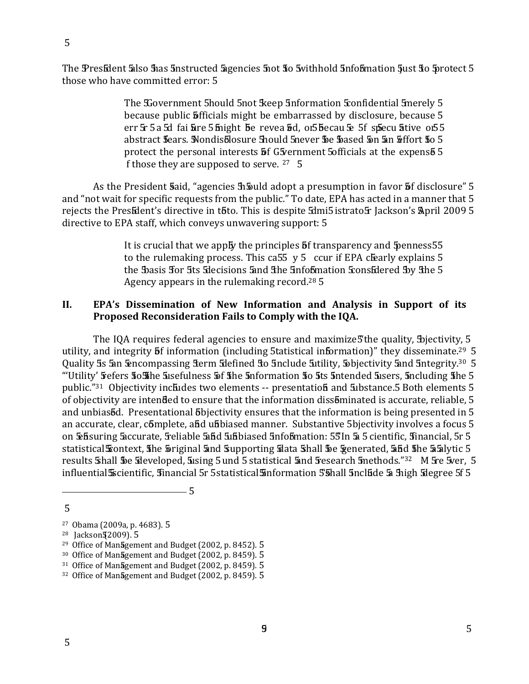The President Salso has 5 nstructed Sigencies 5 not to 5 withhold 5 nfob mation 5 ust to 5 rotect 5 those who have committed error: 5

> The Sovernment 5 hould 5 not 5 keep 5 nformation 5 confidential 5 nerely 5 because public **5** fficials might be embarrassed by disclosure, because 5 err 5 5 a 5d fai fare 5 finight be revea 5d, of 5 becau 5e 5f specu ative of 5 abstract fears. Nondisblosure 5hould 5never be based 5n 5n &ffort 50 5 protect the personal interests **5** G5 vernment 5 officials at the expens<sup>5</sup> 5 f those they are supposed to serve. 27 5

As the President Said, "agencies h5 uld adopt a presumption in favor 5 f disclosure" 5 and "not wait for specific requests from the public." To date, EPA has acted in a manner that 5 rejects the President's directive in toto. This is despite imissistrato ir Jackson's April 2009 5 directive to EPA staff, which conveys unwavering support: 5

> It is crucial that we apply the principles 5f transparency and 5 penness 55 to the rulemaking process. This ca55  $y$  5 ccur if EPA clearly explains 5 the Basis for 5ts Sdecisions 5and 5the 5nfobmation Stons Edered By 5the 5 Agency appears in the rulemaking record.<sup>28</sup> 5

#### II. EPA's Dissemination of New Information and Analysis in Support of its Proposed Reconsideration Fails to Comply with the IQA.

The IQA requires federal agencies to ensure and maximize5'the quality, Biectivity, 5 utility, and integrity **5**f information (including 5tatistical information)" they disseminate.<sup>29</sup> 5 Quality 5s 5an 5encompassing 5erm 5 defined 50 5 nclude 5 utility, 5 bjectivity 5and 5 ntegrity.<sup>30</sup> 5 "Utility' fefers stosshe susefulness of sthe subtemation sto sts subsemeded susers, sucluding sthe 5 public."31 Objectivity includes two elements -- presentation and Substance.5 Both elements 5 of objectivity are intended to ensure that the information dissominated is accurate, reliable, 5 and unbias 5d. Presentational 5 bjectivity ensures that the information is being presented in 5 an accurate, clear, complete, and unbiased manner. Substantive 5bjectivity involves a focus 5 on Existed Securate, 5 Seliable 5 and 5 aboved 5 and 5 and 5 and 5 and 5 cientific, 5 in ancial, 5 r 5 statistical Scontext, the Soriginal and Supporting State Shall Se Senerated, and the aalytic 5 results Shall Se Sleveloped, Susing 5 und 5 statistical Sand Sipsearch Smethods."<sup>32</sup> M Sre 5ver, 5 influential Socientific, Sinancial 5r 5 statistical Sinformation 5 Shall 5nclude 5a Shigh Sdegree 5f 5

<sup>5</sup> 

<sup>&</sup>lt;sup>27</sup> Obama (2009a, p. 4683). 5

<sup>&</sup>lt;sup>28</sup> Jackson § 2009). 5

<sup>&</sup>lt;sup>29</sup> Office of Management and Budget (2002, p. 8452). 5

<sup>&</sup>lt;sup>30</sup> Office of Management and Budget (2002, p. 8459). 5

<sup>&</sup>lt;sup>31</sup> Office of Management and Budget (2002, p. 8459). 5

<sup>&</sup>lt;sup>32</sup> Office of Management and Budget (2002, p. 8459). 5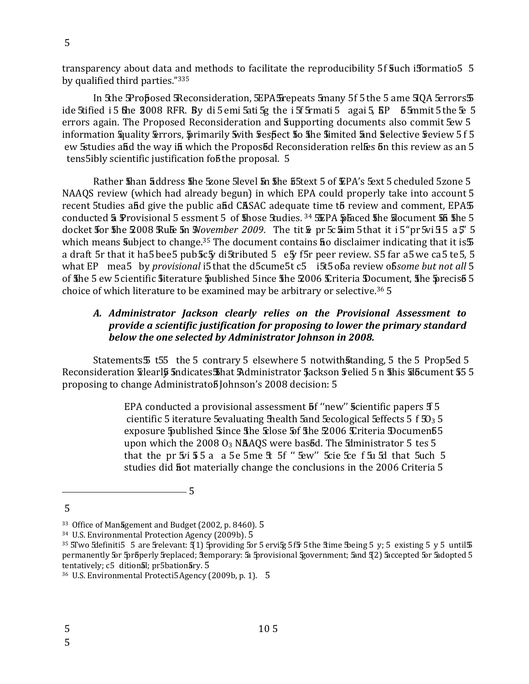transparency about data and methods to facilitate the reproducibility 5f **s**uch isformatio5  $\,$  5 by qualified third parties."<sup>335</sup>

In Sthe SProposed SReconsideration, SEPA Srepeats Smany 5f 5 the 5 ame SIQA Serrors  $\overline{\bf 5}$   
-" --" - &''\* ˆ+ 8° "- - - 0 - - 0- ( ,- information Squality Serrors, Sprimarily Swith Sespect So She Simited Sind Selective Seview 515  $\,$ errors again. The Proposed Reconsideration and Supporting documents also commit 5ew 5  $\mathop{\mathsf{ew}}$  Sstudies a $\mathop{\mathsf{ad}}$  the way i $\mathop{\mathsf{h}}$  which the Propos $\mathop{\mathsf{bd}}$  Reconsideration rel $\mathop{\mathsf{fes}}$   $\mathop{\mathsf{on}}$  this review as an  $5$ tens5ibly scientific justification fo<mark>b</mark> the proposal. 5

recent 5tudies afid give the public afid CASAC adequate time t5 review and comment, EPA5 docket **5**or **5**he 2008 Rube 5n M*ovember 2009*. The tit & pr 5c 5im 5 that it i 5 "pr 5vi 5 5 a 5" a draft 5r that it ha5bee5 pub $\bar{\bf 5}$ c $\bar{\bf 5}$ y di $\bar{\bf 5}$ ributed 5  $\,$  e $\bar{\bf 5}$ y f5r peer review. S5 far a5we ca5 te5, 5 what EP  $\,$  mea5  $\,$  by *provisional* i5 that the d5cume5t c5  $\,$  i5t5 o 6a review o $\,$  6so*me but not all* 5 of  ${\bf \bar 1}$ he 5 ew 5 ${\rm c}$ ientific  ${\bf \bar 3}$ iterature  ${\bf \bar 5}$ ublished 5 ${\rm inc}$ e  ${\bf \bar 4}$ he  ${\bf \bar 2}$ 006  ${\bf \bar 4}$ riteria  ${\bf \bar 5}$ ocument,  ${\bf \bar 4}$ he  ${\bf \bar 5}$ recis ${\bf \bar 5}$  5 Rather fihan address fihe Szone 5level fin fihe fistext 5 of EPA's Sext 5 cheduled 5zone 5 NAAQS review (which had already begun) in which EPA could properly take into account 5 conducted  $\bar{a}$  Provisional 5 essment 5 of  $\bar{b}$ hose Studies.  $^{34}$  SEPA  $\bar{p}$ faced  $\bar{b}$ he  $\bar{b}$ locument  $\bar{b}\bar{b}$   $\bar{b}$ he 5 which means  $\overline{\mathbf{s}}$ ubject to change. $^{35}$  The document contains  $\overline{\mathbf{a}}$ o disclaimer indicating that it is $\overline{\mathbf{b}}$ choice of which literature to be examined may be arbitrary or selective.<sup>36</sup> 5

## *A. Administrator Jackson clearly relies on the Provisional Assessment to provide a scientific justification for proposing to lower the primary standard* below the one selected by Administrator Johnson in 2008.

Reconsideration Slearly 5ndicates Sthat Administrator 5 ackson 5 elied 5 n 5 his 516 cument 55 5 S Statements $5$  t55  $\,$  the 5 contrary 5 elsewhere 5 notwith $\,$ standing, 5 the 5 Prop $5$ ed 5  $\,$  $\bf{p}$ ro $\bf{p}$ osing to change Administrato $\bf{\bar{5}}$ Johnson's 2008 decision: 5

> cientific 5 iterature 5 $\epsilon$ valuating Shealth 5and 5 $\epsilon$ cological 5 $\epsilon$ ffects 5 f 5 $0_3$  5 that the pr  $\overline{s}$  i  $\overline{5}$  5 a  $\overline{a}$  5  $\overline{e}$  5 me  $\overline{x}$  5 f  $\overline{b}$  5  $\overline{c}$  5  $\overline{c}$  e  $\overline{c}$  t  $\overline{5}$   $\overline{u}$  5  $\overline{d}$  that  $\overline{5}$  uch EPA conducted a provisional assessment  ${\bf \bar{b}}$ f "new"  ${\bf \bar{s}}$ cientific papers  ${\bf \bar{f}}$  5 exposure  $\mathfrak h$ ublished  $\mathfrak s$ ince  $\mathfrak A$ he  $\mathfrak s$ lose  $\mathfrak A$ fhe  $\mathfrak A$ 006  $\mathfrak C$ riteria  $\mathfrak D$ ocumen $\mathfrak b$ 5 upon which the 2008  $O_3$  N<mark>A</mark>AQS were bas $\bar{e}$ d. The Sdministrator 5 tes 5 studies did **h**ot materially change the conclusions in the 2006 Criteria 5

 $\sim$  5

<sup>5</sup> 

<sup>&</sup>lt;sup>33</sup> Office of Man**a**gement an

<sup>&</sup>lt;sup>33</sup> Office of Man**5**gement and Budget (2002, p. 8460). 5<br><sup>34</sup> U.S. Environmental Protection Agency (2009b). 5

<sup>&</sup>lt;sup>35</sup> SI'wo Sdefiniti5 5 are Srelevant: 9(1) Sproviding Sor 5 ervity 515 5 the Stime Soeing 5 y; 5 existing 5 y 5 until S tentatively; c5 dition**ä**l; pr5bation permanently 5or 5pr6perly 5replaced; Stemporary: 5a 5provisional Sgovernment; Sand 9(2) Saccepted 5or Sadopted 5

tentatively; c5 dition**ā**l; pr5bation<mark>ā</mark>ry. 5<br><sup>36</sup> U.S. Environmental Protecti5 Agency (2009b, p. 1). 5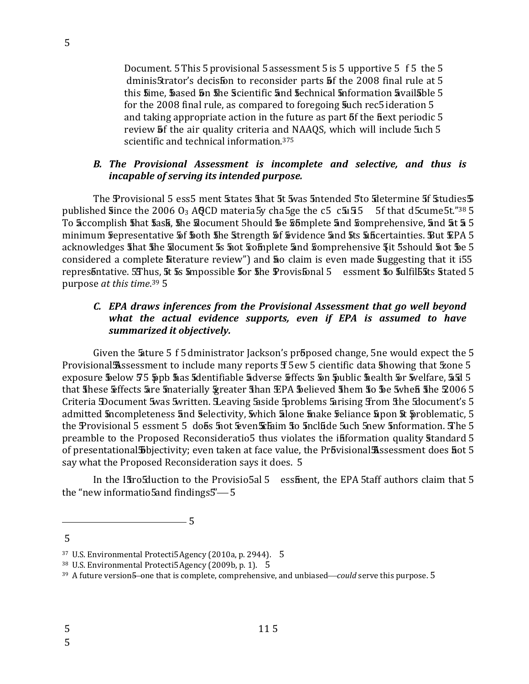Document. 5 This 5 provisional 5 assessment 5 is 5 upportive 5 f 5 the 5 dminis5trator's decis5on to reconsider parts 5f the 2008 final rule at 5 this sime, sased son she scientific and sechnical soformation available 5 for the 2008 final rule, as compared to foregoing such rec5 ideration 5 and taking appropriate action in the future as part 5f the fiext periodic 5 review **5** f the air quality criteria and NAAQS, which will include 5uch 5 scientific and technical information.<sup>375</sup>

### B. The Provisional Assessment is incomplete and selective, and thus is incapable of serving its intended purpose.

The Provisional 5 ess5 ment States that 5t 5 was 5 ntended 5 to Stetermine 5f Studies 5 published **Since the 2006 O<sub>3</sub> AQCD** materia 5y cha 5ge the c 5 c  $\overline{5}$  c  $\overline{5}$  f that d 5 cume 5t.<sup>738</sup> 5 To accomplish shat sask, she slocument 5hould se somplete and somprehensive, and at a 5 minimum frepresentative 5f foth the Strength 5f Svidence and 5ts 5a ficertainties. But EPA 5 acknowledges that the slocument 5s 500t somplete and somprehensive 5it 5should 500t 5e 5 considered a complete **Sterature review**") and **50** claim is even made **Suggesting that it i55** represontative. 5 Thus, 5t 5s 5mpossible 5or 5he Provisfonal 5 essment 50 5 ulfills 5ts 5tated 5 purpose at this time.<sup>39</sup> 5

## C. EPA draws inferences from the Provisional Assessment that go well beyond what the actual evidence supports, even if EPA is assumed to have summarized it objectively.

Given the 5 ature 5 f 5 dministrator Jackson's proposed change, 5 ne would expect the 5 Provisional Assessment to include many reports f 5ew 5 cientific data showing that Exone 5 exposure \$ below 55 \$ pb \$ as \$ dentifiable \$ dverse \$ ffects \$ n \$ ublic \$ ealth \$ r \$ welfare, \$ 5 5 that these Effects are materially greater than EPA believed them to be twhen the 2006 5 Criteria Document 5was 5written. Leaving 5aside 5problems 5arising 5rom 5the 5document's 5 admitted 5ncompleteness 5nd 5 electivity, 5 which 5 lone 5 nake 5 eliance 5 pon 5t 5 roblematic, 5 the Provisional 5 essment 5 does 5 not Even Etaim to 5 nclude 5 uch 5 new 5 nformation. The 5 preamble to the Proposed Reconsideratio5 thus violates the ififormation quality standard 5 of presentational 5 bjectivity; even taken at face value, the Provisional Assessment does not 5 say what the Proposed Reconsideration says it does. 5

In the Istros uction to the Provisio 5al 5 essiment, the EPA 5taff authors claim that 5 the "new informatio5 and findings5"-5

 $-5$ 

5 5

<sup>&</sup>lt;sup>37</sup> U.S. Environmental Protecti5 Agency (2010a, p. 2944). 5

<sup>&</sup>lt;sup>38</sup> U.S. Environmental Protecti5 Agency (2009b, p. 1). 5

<sup>&</sup>lt;sup>39</sup> A future version 5-one that is complete, comprehensive, and unbiased—could serve this purpose. 5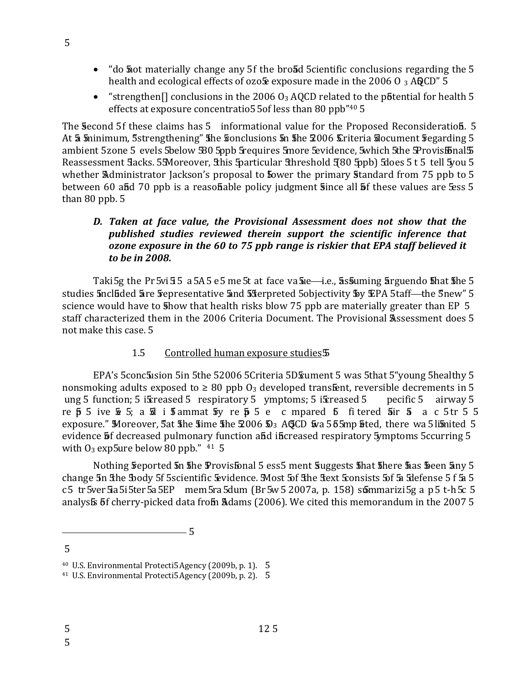- "do **5** and materially change any 5f the broad 5 cientific conclusions regarding the 5 health and ecological effects of ozo $\frac{1}{2}$  exposure made in the 2006 O 3 AQCD" 5
- "strengthen<sup>[]</sup> conclusions in the 2006  $O_3$  AQCD related to the potential for health 5 effects at exposure concentratio5 5of less than 80 ppb"40 5

The Second 5f these claims has 5 informational value for the Proposed Reconsideration 5. At 5 minimum, 5strengthening" 5he Sonclusions 5n 5he 2006 Criteria Slocument 5 egarding 5 ambient 5zone 5 evels 5below 580 5ppb 5 requires 5more 5 evidence, 5 which 5 the 5 Provis 5 balls Reassessment 5 acks. 55 Moreover, 5 his 5 particular 5 hreshold 5 80 5ppb) 5 does 5 t 5 tell 5 you 5 whether Administrator Jackson's proposal to fower the primary standard from 75 ppb to 5 between 60 and 70 ppb is a reasonable policy judgment since all of these values are sess 5 than  $80$  ppb.  $5$ 

## D. Taken at face value, the Provisional Assessment does not show that the published studies reviewed therein support the scientific inference that ozone exposure in the 60 to 75 ppb range is riskier that EPA staff believed it to be in 2008.

Taki 5g the Pr 5vi 5 5 a 5A 5 e 5 me 5t at face va 5 ie—i.e., 5 as 5 uming 5 arguendo 5 hat 5 he 5 studies 5ncluded 5are 5 representative 5and 55 terpreted 5 objectivity 5 by EPA 5 taff-the 5new" 5 science would have to 5 how that health risks blow 75 ppb are materially greater than EP 5 staff characterized them in the 2006 Criteria Document. The Provisional Assessment does 5 not make this case. 5

#### $1.5$ Controlled human exposure studies 5

EPA's 5conc5 usion 5 in 5 the 52006 5 Criteria 5D Eument 5 was 5 that 5 "young 5 healthy 5 nonsmoking adults exposed to  $\geq 80$  ppb  $0_3$  developed transfient, reversible decrements in 5 ung 5 function; 5 is freased 5 respiratory 5 ymptoms; 5 is reased 5 pecific 5 airway 5 re  $\overline{p}$  5 ive  $\overline{x}$  5; a  $\overline{a}$  i  $\overline{b}$  ammat  $\overline{b}$  y re  $\overline{p}$  5 e c mpared  $\overline{b}$  fitered  $\overline{a}$  ir  $\overline{a}$  a c 5tr 5 5 exposure." Moreover, 5at the time the  $2006 \Omega_3$  AGCD  $\bar{w}$  a 55 5mp fited, there wa 5 limited 5 evidence 5f decreased pulmonary function and increased respiratory 5ymptoms 5ccurring 5 with  $O_3$  exp5ure below 80 ppb."  $41\,5$ 

Nothing freported 5n 5he Provisfonal 5 ess5 ment Suggests 5hat 5here 5as 5 been 5ny 5 change 5n the body 5f 5 scientific Evidence. Most 5f the text Sonsists 5f 5a Silefense 5 f 5a 5  $c$  5 tr 5 ver 5 a 5 i 5 ter 5 a 5 EP mem 5 ra 5 dum (Br 5  $w$  5 2007 a, p. 158) st matrizi 5 g a p 5 t - h 5 c 5 analysts of cherry-picked data from Adams (2006). We cited this memorandum in the 2007 5

<sup>- 5</sup> 

 $\overline{5}$ 

<sup>&</sup>lt;sup>40</sup> U.S. Environmental Protecti5 Agency (2009b, p. 1). 5

<sup>&</sup>lt;sup>41</sup> U.S. Environmental Protecti5 Agency (2009b, p. 2). 5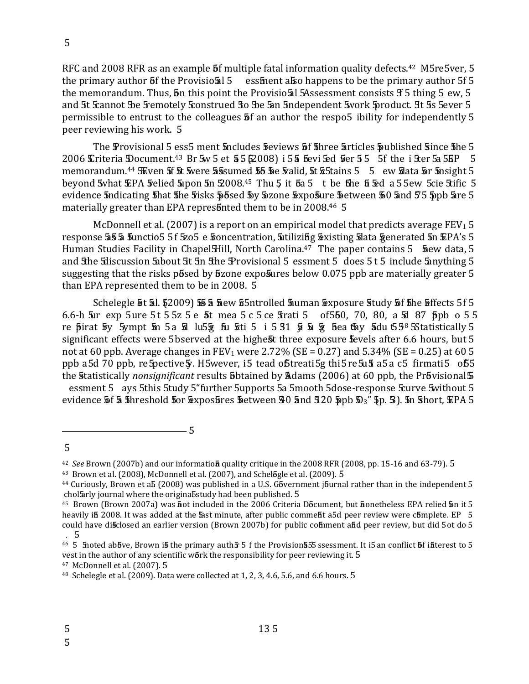RFC and 2008 RFR as an example 5f multiple fatal information quality defects.<sup>42</sup> M5re5ver, 5 the primary author  $5f$  the Provisio 5 essiment also happens to be the primary author  $5f$ the memorandum. Thus, **5**n this point the Provisio al 5Assessment consists **5** 5 thing 5 ew, 5 and 5t Stannot Be Femotely Stonstrued 30 Be 5an 5ndependent 5work 5product. 5t 5s 5ever 5 permissible to entrust to the colleagues **5** fan author the respo<sup>5</sup> ibility for independently 5 peer reviewing his work. 5

The Provisional 5 ess5 ment 5 ncludes 5 eviews 5 f 5 hree 5 rticles 5 ublished 5 ince 5 he 5 2006 Criteria Document.<sup>43</sup> Br 5w 5 et 55 52008) i 55 fevi 5ed free 5 5 5f the i 5ter 5a 5EP 5 memorandum.<sup>44</sup> SEven 5f 5t 5vere 55 sumed 55 5e 5 valid, 5t 5 5 tains 5 5 ew 5 ata 5r 5 nsight 5 beyond 5what EPA 5 relied 5 upon 5n 52008.45 Thu 5 it 5a 5 t be the 5 5 red a 55 ew 5 cie 5 tific 5 evidence 5ndicating 5hat 5he 5isks 55sed 5y 5zone 5xpo5ure 5etween 50 5nd 55 5pb 5re 5 materially greater than EPA represonted them to be in 2008.46 5

McDonnell et al. (2007) is a report on an empirical model that predicts average  $FEV<sub>1</sub>5$ response 55 5 functio5 5 f 5205 e foncentration, stilizing soxisting slata generated 5n EPA's 5 Human Studies Facility in Chapel Hill, North Carolina.<sup>47</sup> The paper contains 5 **5** aew data, 5 and the Ediscussion Eabout Et En the Provisional 5 essment 5 does 5t 5 include Eanything 5 suggesting that the risks posed by ozone exposures below 0.075 ppb are materially greater 5 than EPA represented them to be in 2008. 5

Schelegle 5t 5l. \$2009) 55 5 hew 55ntrolled human Exposure 5tudy 5f 5he 5ffects 5f 5 6.6-h 5ar exp 5 ure 5t 5 5z 5 e 5t mea 5 c 5 ce 5 trati 5 of 550, 70, 80, a 5d 87 ppb o 55 re prirat by 5ympt in 5a id lu5  $\frac{1}{2}$  fu  $\frac{1}{2}$  fu  $\frac{1}{2}$  i 5 fu  $\frac{1}{2}$  i 5 fu  $\frac{1}{2}$  fie  $\frac{1}{2}$  fie fu  $\frac{1}{2}$  for  $\frac{1}{2}$  for  $\frac{1}{2}$  for  $\frac{1}{2}$  for  $\frac{1}{2}$  for  $\frac{1}{2}$  for  $\frac{1}{2}$  for significant effects were 5 bserved at the highest three exposure sevels after 6.6 hours, but 5 not at 60 ppb. Average changes in FEV<sub>1</sub> were 2.72% (SE = 0.27) and 5.34% (SE = 0.25) at 60 5 ppb a5d 70 ppb, re5pective 5. H5wever, i5 tead of treati 5g thi5 re5u f a5a c5 firmati5 of 5 the Statistically nonsignificant results 5btained by Adams (2006) at 60 ppb, the Pr5visional 5 essment 5 ays 5this 5tudy 5"further 5upports 5a 5mooth 5dose-response Eurve 5 without 5

evidence 5f & 5hreshold 5or 5xposures 5etween 30 and 320 5pb 53" 5p. 3). 5n 5hort, EPA 5

5

 $42$  See Brown (2007b) and our information quality critique in the 2008 RFR (2008, pp. 15-16 and 63-79). 5

 $43$  Brown et al. (2008), McDonnell et al. (2007), and Schelbgle et al. (2009).  $5$ 

<sup>&</sup>lt;sup>44</sup> Curiously, Brown et ab (2008) was published in a U.S. Gbvernment journal rather than in the independent 5 chol arly journal where the original study had been published. 5

<sup>&</sup>lt;sup>45</sup> Brown (Brown 2007a) was **hot included in the 2006 Criteria D6cument**, but **honetheless EPA relied bn it 5** heavily if 2008. It was added at the fast minute, after public commefit a5d peer review were complete. EP 5 could have disclosed an earlier version (Brown 2007b) for public comment and peer review, but did 5 ot do 5  $.5$ 

<sup>46 5</sup> fioted above, Brown is the primary auth 5 5 f the Provision 555 ssessment. It is an conflict of interest to 5 vest in the author of any scientific work the responsibility for peer reviewing it. 5

<sup>&</sup>lt;sup>47</sup> McDonnell et al. (2007). 5

<sup>&</sup>lt;sup>48</sup> Schelegle et al. (2009). Data were collected at 1, 2, 3, 4.6, 5.6, and 6.6 hours. 5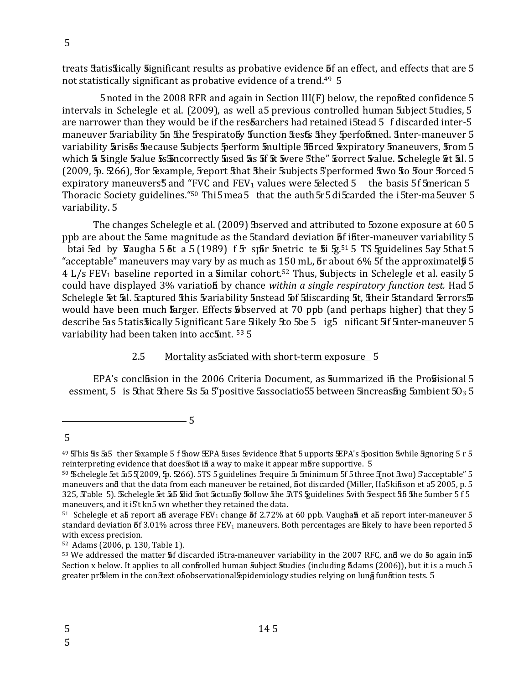treats Eatis Fically Significant results as probative evidence 5f an effect, and effects that are 5 not statistically significant as probative evidence of a trend.<sup>49</sup> 5

5 noted in the 2008 RFR and again in Section  $III(F)$  below, the reported confidence 5 intervals in Schelegle et al. (2009), as well a5 previous controlled human Subject 5tudies, 5 are narrower than they would be if the resbarchers had retained i5tead 5 f discarded inter-5 maneuver 5 variability 5n the 5 espirato by function fiests they 5 performed. Inter-maneuver 5 variability Erises because Subjects Sperform Smultiple Sorced Expiratory Smaneuvers, Srom 5 which 5 Single 5 alue 5 s 5 ncorrectly 5 sed 5 s 5f 5t 5 vere 5 the" Sorrect 5 alue. Schelegle 5t 5l. 5 (2009, 5. 566), for Example, Feport That Their Subjects 5'performed Two To Tour Torced 5 expiratory maneuvers<sup>5</sup> and "FVC and FEV<sub>1</sub> values were  $\frac{1}{2}$  blected 5 the basis 5f 5 merican 5 Thoracic Society guidelines. "<sup>50</sup> Thi 5 mea 5 that the auth 5r 5 di Scarded the i 5 ter-ma 5 euver 5 variability. 5

The changes Schelegle et al. (2009) 5 bserved and attributed to 5 bzone exposure at 60 5 ppb are about the 5ame magnitude as the 5tandard deviation 5f if ter-maneuver variability 5 btai  $\overline{5}$ d by  $\overline{9}$ augha 5 $\overline{6}$ t a 5(1989) f $\overline{5}$  spir  $\overline{5}$ metric te  $\overline{5}$ i  $\overline{5}$  and  $\overline{5}$  and  $\overline{5}$  and  $\overline{5}$  and  $\overline{5}$  and  $\overline{5}$  and  $\overline{5}$  and  $\overline{5}$  and  $\overline{5}$  and  $\overline{5}$ "acceptable" maneuvers may vary by as much as 150 mL,  $\delta$ r about 6% 5f the approximatel $\frac{5}{9}$  5 4 L/s FEV<sub>1</sub> baseline reported in a similar cohort.<sup>52</sup> Thus, subjects in Schelegle et al. easily 5 could have displayed 3% variation by chance within a single respiratory function test. Had 5 Schelegle 5t 5al. Scaptured 5this 5 variability 5 nstead 5 of 5 discarding 5t, 5 their 5 tandard 5 errors 5 would have been much farger. Effects biserved at 70 ppb (and perhaps higher) that they 5 describe 5as 5 tatis Stically 5 ignificant 5 are 5 likely 5 to 5 be 5 ig5 nificant 5 f 5 inter-maneuver 5 variability had been taken into acc5unt. 53 5

#### $2.5$ Mortality as Sciated with short-term exposure 5

 $-5$ 

EPA's concluision in the 2006 Criteria Document, as summarized in the Prosisional 5 essment, 5 is 5that 5there 5 is 5  $5$  positive 5 associatio 55 between 5 increasing 5 ambient 50  $3$  5

 $49$  SThis 5s 5a5 ther Sexample 5 f Show SEPA Suses Sevidence Sthat 5 upports SEPA's Sposition Swhile Sgnoring 5 r 5 reinterpreting evidence that does not in a way to make it appear more supportive. 5

<sup>50</sup> Schelegle 5et 5a5 5(2009, 5p. 5266). 5TS 5 guidelines Srequire 5a Sminimum 5f 5 three 5not Stwo) 5'acceptable" 5 maneuvers and that the data from each maneuver be retained, fiot discarded (Miller, Ha5kifison et a5 2005, p. 5 325, Table 5). Schelegle &t 5b 5did 5not 5actually 5ollow 5he 5ATS Spuidelines 5with 5 espect 55 5he 5umber 5f5 maneuvers, and it i5't kn5 wn whether they retained the data.

 $51$  Schelegle et ab report an average FEV<sub>1</sub> change 5f 2.72% at 60 ppb. Vaughan et ab report inter-maneuver 5 standard deviation  $53.01\%$  across three FEV<sub>1</sub> maneuvers. Both percentages are likely to have been reported 5 with excess precision.

<sup>&</sup>lt;sup>52</sup> Adams (2006, p. 130, Table 1).

<sup>53</sup> We addressed the matter 5f discarded i5tra-maneuver variability in the 2007 RFC, and we do 50 again in 5 Section x below. It applies to all confrolled human subject studies (including Adams (2006)), but it is a much 5 greater pr5blem in the con5text o5observational §pidemiology studies relying on lun§ fun5tion tests. 5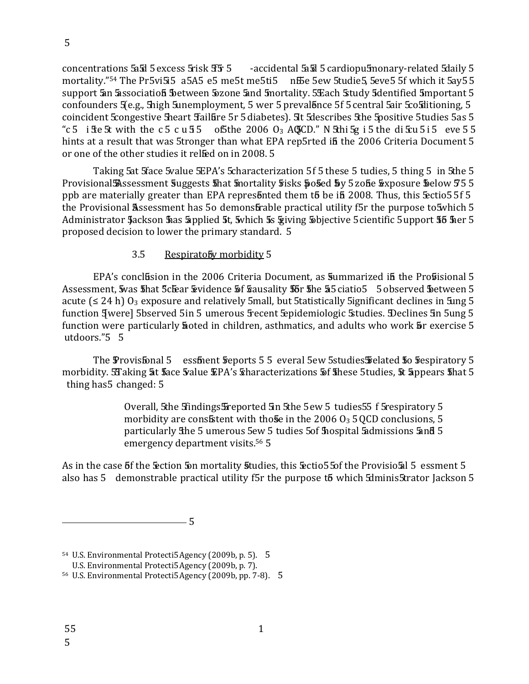concentrations 5a5d 5 excess 5 risk 5 f5 cacidental 5a5d 5 cardiopu5 monary-related 5 daily 5 mortality."<sup>54</sup> The Pr5vi5i5 a5A5 e5 me5t me5ti5 nfbe 5ew 5tudie5, 5eve5 5f which it 5ay55 support 5an 5association 5 between 5 zone 5and 5 mortality. 5 Each 5 tudy 5 dentified 5 mportant 5 confounders 5(e.g., 5) shigh 5 unemployment, 5 wer 5 prevalonce 5f 5 central 5 air 5 cosditioning, 5 coincident Econgestive Sheart Sfaillire 5r 5 diabetes). Sit Sdescribes Sthe Spositive 5tudies 5as 5 "c 5 i  $\text{Re } 5$  with the c 5 c u 5 5 of 5 the 2006 O<sub>3</sub> AGCD." N  $\text{Shi } 5$ g i 5 the di  $\text{Eu } 5$  i 5 eve 5 5 hints at a result that was 5tronger than what EPA rep5rted in the 2006 Criteria Document 5 or one of the other studies it relfed on in 2008. 5

Taking 5at 5 face 5 value 5EPA's 5 characterization 5 f 5 these 5 tudies, 5 thing 5 in 5 the 5 Provisional Assessment Suggests 5hat 5nortality 5 isks 505ed 5y 5 zofie 5xposure 5 elow 55 5 ppb are materially greater than EPA represonted them to be in 2008. Thus, this sectios 5f 5 the Provisional Assessment has 50 demonstrable practical utility f5r the purpose to 5which 5 Administrator Jackson has Sapplied 5t, 5which 5s Spiving Sobjective 5 cientific 5 upport 56 her 5 proposed decision to lower the primary standard. 5

#### Respiratoby morbidity 5  $3.5$

EPA's conclusion in the 2006 Criteria Document, as summarized in the Prosisional 5 Assessment, Svas Shat 5cE ar Sevidence 5f Sausality 55r She 55 ciatio 5 5 observed Setween 5 acute  $( \leq 24 \text{ h} )$  O<sub>3</sub> exposure and relatively 5mall, but 5tatistically 5ignificant declines in 5ung 5 function Jwere] 5bserved 5in 5 umerous Fecent Epidemiologic Studies. Declines 5n 5ung 5 function were particularly **h**oted in children, asthmatics, and adults who work **b**r exercise 5 utdoors."5 5

The Provisfonal 5 essfuent steports 5 5 everal 5ew 5 studies Stelated 5 to Stespiratory 5 morbidity. STaking 5t face 5 value EPA's sharacterizations 5f finese 5 tudies, 5t 5 appears finat 5 thing has 5 changed: 5

> Overall, 5the 5findings 5 reported 5in 5the 5ew 5 tudies 55 f 5 respiratory 5 morbidity are consistent with those in the 2006  $O_3$  5 QCD conclusions, 5 particularly The 5 umerous 5ew 5 tudies 5of 5 hospital 5 dmissions 5 and 5 emergency department visits.<sup>56</sup> 5

As in the case 5f the Section 5 m mortality studies, this Sectio 5 5 of the Provisio 5 al 5 essment 5 also has 5 demonstrable practical utility f5r the purpose to which 5dminis5trator Jackson 5

 $-5$ 

<sup>&</sup>lt;sup>54</sup> U.S. Environmental Protecti5 Agency (2009b, p. 5). 5

U.S. Environmental Protecti5 Agency (2009b, p. 7).

<sup>&</sup>lt;sup>56</sup> U.S. Environmental Protecti5 Agency (2009b, pp. 7-8). 5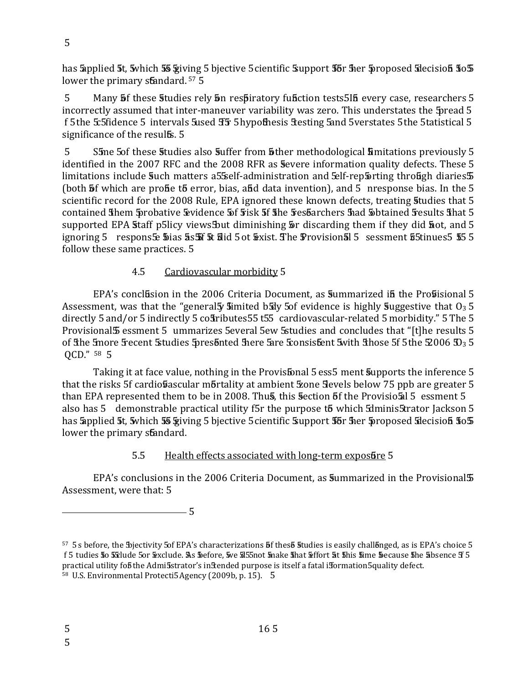has applied 5t, 5 which 55 giving 5 bjective 5 cientific Support 5 for the proposed 5 decision 50 5 lower the primary standard.<sup>57</sup> 5

 $5^{\circ}$ Many **5** f these **5** tudies rely **5** n respiratory function tests 5 in every case, researchers 5 incorrectly assumed that inter-maneuver variability was zero. This understates the 5 pread 5 f 5 the 5 fidence 5 intervals 5 used FF 5 hypothesis 5 testing 5 and 5 verstates 5 the 5 tatistical 5 significance of the resulfs. 5

 $\overline{5}$ Sime 5 of these studies also suffer from sther methodological simitations previously 5 identified in the 2007 RFC and the 2008 RFR as severe information quality defects. These 5 limitations include 5uch matters a55self-administration and 5elf-rep5 rting through diaries 5 (both **5** f which are profie to error, bias, and data invention), and 5 nresponse bias. In the 5 scientific record for the 2008 Rule, EPA ignored these known defects, treating studies that 5 contained fihem probative Evidence 5f 5 isk 5f fihe 5 es barchers had 5 btained 5 esults fihat 5 supported EPA staff p5licy views but diminishing  $\overline{p}r$  discarding them if they did  $\overline{p}$  ot, and 5 ignoring 5 respons 5 bias 5 5 5 did 5 ot Exist. The Provision 5 5 sessment 55 tinues 5 5 5 follow these same practices. 5

#### 4.5 Cardiovascular morbidity 5

EPA's conclusion in the 2006 Criteria Document, as summarized in the Prosisional 5 Assessment, was that the "general y simited brive 5 of evidence is highly suggestive that  $0_3$  5 directly 5 and/or 5 indirectly 5 costributes 55 t55 cardiovascular-related 5 morbidity." 5 The 5 Provisional 5 essment 5 ummarizes 5 everal 5 ew 5 studies and concludes that "[t] he results 5 of the finore frecent Studies fores of the fare fare fronsistent swith those 5f 5the \$2006 \$23 5 QCD." 58 5

Taking it at face value, nothing in the Provisfonal 5 ess5 ment supports the inference 5 that the risks 5f cardio basscular mortality at ambient zone Sevels below 75 ppb are greater 5 than EPA represented them to be in 2008. Thus, this section 5f the Provisio 5 al 5 essment 5 also has 5 demonstrable practical utility f5r the purpose t5 which 5dminis5trator Jackson 5 has Sapplied 5t, 5which 55 Spiving 5 bjective 5 cientific Support 55r 5 her 5proposed Sdecision 505 lower the primary standard.

#### $5.5$ Health effects associated with long-term exposure 5

EPA's conclusions in the 2006 Criteria Document, as 5 ummarized in the Provisional 5 Assessment, were that: 5

<sup>57 5</sup>s before, the Sojectivity 5of EPA's characterizations 5f thes 5 Studies is easily chall 5 ng eq is EPA's choice 5 f 5 tudies 50 5 clude 50r &xclude. As \$efore, 5ve 5 55not 5nake 5 hat &ffort 5t 5 his 5ime \$ecause 5 he 5 bsence 3 5 practical utility fob the Admi5strator's in Stended purpose is itself a fatal ifformation 5 quality defect. <sup>58</sup> U.S. Environmental Protecti5 Agency (2009b, p. 15). 5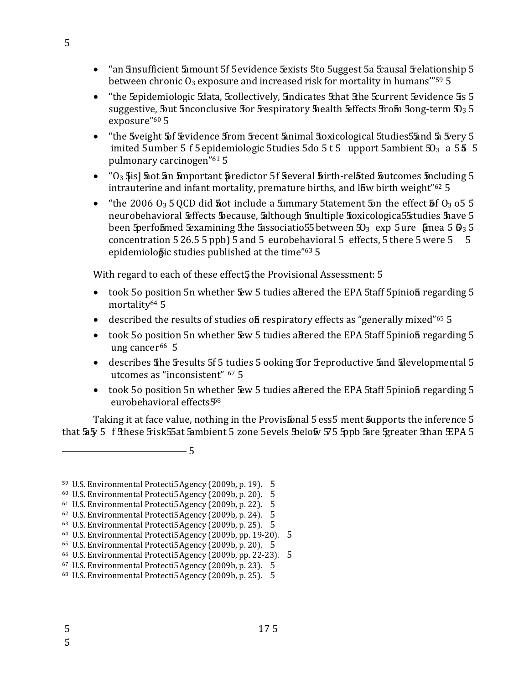- "an Sinsufficient Samount 5f 5 evidence Sexists 5 to 5 uggest 5 a Scausal Strelationship 5 between chronic  $O_3$  exposure and increased risk for mortality in humans"<sup>59</sup> 5
- "the Sepidemiologic Sdata, Scollectively, Sindicates Sthat Sthe Scurrent Sevidence 5s 5 suggestive, but 5nconclusive for 5 respiratory 5 health  $E$  ffects 5 rof 5 ong-term  $\mathfrak{D}_3$  5 exposure"<sup>60</sup> 5
- "the 5 weight 5 of 5 revidence 5 rom 5 recent 5 animal 5 oxicological 5 tudies 5 5 and 5 a 5 rery 5 imited 5 umber 5 f 5 epidemiologic 5 tudies 5 do 5 t 5 upport 5 ambient  $50<sub>3</sub>$  a 5 **5** 5 pulmonary carcinogen"<sup>61</sup> 5
- $"0<sub>3</sub>$  \$is] sot an smportant spredictor 5f several stirth-related sutcomes sincluding 5 intrauterine and infant mortality, premature births, and low birth weight"<sup>62</sup> 5
- "the 2006  $O_3$  5 QCD did **5** ot include a 5 ummary 5 tatement 5 on the effect 5 f  $O_3$  o 5 5 neurobehavioral Effects because, although 5 multiple 5 oxicologica 5 Studies 5 have 5 been Sperfoblmed Sexamining Sthe Sassociatio 55 between  $50_3$  exp 5 ure fimea 5  $\theta_3$  5 concentration  $526.55$  ppb)  $5$  and  $5$  eurobehavioral  $5$  effects,  $5$  there  $5$  were  $5\quad 5$ epidemiologic studies published at the time"63 5

With regard to each of these effect5 the Provisional Assessment: 5

- took 50 position 5n whether 5 w 5 tudies altered the EPA 5 taff 5 pinion regarding 5 mortality<sup>64</sup> 5
- described the results of studies of respiratory effects as "generally mixed"<sup>65</sup> 5
- took 50 position 5n whether 5 gw 5 tudies aftered the EPA 5 taff 5 pinion regarding 5 ung cancer<sup>66</sup> 5
- describes the fresults 5f 5 tudies 5 ooking for freproductive 5 and 5 developmental 5 utcomes as "inconsistent" <sup>67</sup> 5
- took 50 position 5n whether  $\frac{1}{2}$  tudies altered the EPA 5 taff 5 pinion regarding 5 eurobehavioral effects<sup>58</sup>

Taking it at face value, nothing in the Provisfonal 5 ess5 ment supports the inference 5 that 5 f 5 f Sthese Stisk 55 at 5 ambient 5 zone 5 evels Below 575 Sppb 5 are 5 greater Sthan EPA 5

<sup>&</sup>lt;sup>59</sup> U.S. Environmental Protecti5 Agency (2009b, p. 19). 5

<sup>&</sup>lt;sup>60</sup> U.S. Environmental Protecti5 Agency (2009b, p. 20). 5

<sup>&</sup>lt;sup>61</sup> U.S. Environmental Protecti5 Agency (2009b, p. 22). 5

<sup>&</sup>lt;sup>62</sup> U.S. Environmental Protecti5 Agency (2009b, p. 24). 5

<sup>63</sup> U.S. Environmental Protecti5 Agency (2009b, p. 25). 5

<sup>&</sup>lt;sup>64</sup> U.S. Environmental Protecti5 Agency (2009b, pp. 19-20). 5

<sup>&</sup>lt;sup>65</sup> U.S. Environmental Protecti5 Agency (2009b, p. 20). 5

<sup>&</sup>lt;sup>66</sup> U.S. Environmental Protecti5 Agency (2009b, pp. 22-23). 5

<sup>&</sup>lt;sup>67</sup> U.S. Environmental Protecti5 Agency (2009b, p. 23). 5

<sup>&</sup>lt;sup>68</sup> U.S. Environmental Protecti5 Agency (2009b, p. 25). 5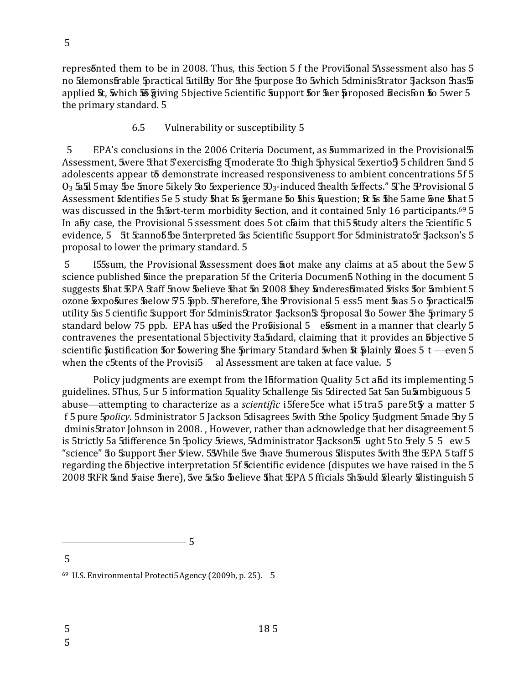5

represonted them to be in 2008. Thus, this section 5 f the Provisonal SAssessment also has 5 no Silemons frable Spractical Sutility for Sine Spurpose So Swhich 5dminis Strator Jackson Shas 5 applied 5t, 5 which 55 giving 5 bjective 5 cientific 5 upport 5 or 5 er 5 roposed 5 decission 50 5 wer 5 the primary standard. 5

#### 6.5 Vulnerability or susceptibility 5

5 EPA's conclusions in the 2006 Criteria Document, as 5 ummarized in the Provisional 5 Assessment, 5 were 5 that 5 exercising 5 moderate 50 5 high 5 physical 5 sention 5 children 5 and 5 adolescents appear to demonstrate increased responsiveness to ambient concentrations 5f 5  $O_3$  5x 5 may Be 5 more 5 ikely 5 to 5 experience  $D_3$ -induced 5 health 5 ffects." The Provisional 5 Assessment Sidentifies 5e 5 study Shat So Sigermane So Shis Squestion; St So She 5ame Sone Shat 5 was discussed in the 51 ort-term morbidity section, and it contained 5nly 16 participants.<sup>69</sup> 5 In aby case, the Provisional 5 ssessment does 5 ot claim that this study alters the Scientific 5 evidence, 5 5t 5canno 5 Be 5nterpreted 5as 5cientific 5support for 5dministrato 5r 5 ackson's 5 proposal to lower the primary standard. 5

 $\overline{5}$ I55sum, the Provisional Assessment does **hot** make any claims at a5 about the 5ew 5 science published since the preparation 5f the Criteria Document Nothing in the document 5 suggests 5hat EPA 5taff 5now 5 believe 5hat 5n 2008 5hey 5 nderes 5 mated 5 isks 5 or 5 mbient 5 ozone Exposures below 55 sppb. Therefore, the Provisional 5 ess5 ment has 5 o practical 5 utility 5as 5 cientific 5 upport for 5 dminis 5 trator 5 ackson 5 5 proposal 50 5 ower 5 he 5 primary 5 standard below 75 ppb. EPA has used the Prosisional 5 essment in a manner that clearly 5 contravenes the presentational 5 bjectivity *flashdard*, claiming that it provides an **b**bjective 5 scientific  $\frac{1}{2}$  sustification  $\frac{1}{2}$  fowering  $\frac{1}{2}$  fhe  $\frac{1}{2}$  frimary 5 tandard  $\frac{1}{2}$  when  $\frac{1}{2}$  faller  $\frac{1}{2}$  foes 5 t —even 5 when the c5tents of the Provisi5 al Assessment are taken at face value. 5

Policy judgments are exempt from the Ififormation Quality 5 ct afid its implementing 5 guidelines. 5Thus, 5 ur 5 information 5quality 5challenge 5is 5directed 5at 5an 5u5ambiguous 5 abuse—attempting to characterize as a *scientific* i5fere5ce what i5tra5 pare5t5 a matter 5 f 5 pure 5*policy*. 5 dministrator 5 Jackson 5 disagrees 5 with 5 the 5 policy 5 udgment 5 made 5 by 5 dminis5trator Johnson in 2008., However, rather than acknowledge that her disagreement 5 is 5trictly 5a 5difference 5n 5policy 5views, 5Administrator 5 ackson 5 ught 5 to 5rely 5 5 ew 5 "science" So Support her 5 yiew. 55 While 5 we have 5 numerous 5 disputes 5 with 5 he \$ PA 5 taff 5 regarding the 5 bjective interpretation 5f Scientific evidence (disputes we have raised in the 5 2008 RFR 5nd Faise 5 here), 5 ve 5 50 5 believe 5 hat EPA 5 fficials 5 h 5 uld 5 learly 5 distinguish 5

 $-5$ 

<sup>5</sup> 

<sup>&</sup>lt;sup>69</sup> U.S. Environmental Protecti5 Agency (2009b, p. 25). 5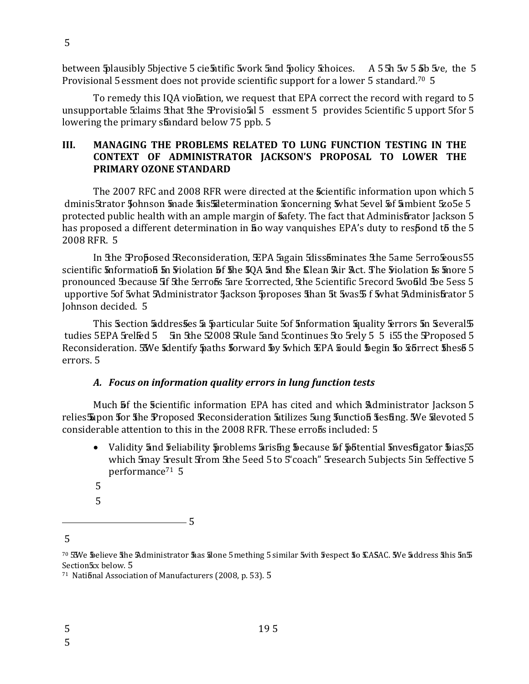between Splausibly Sbjective 5 cientific 5 work Sand Spolicy Schoices. A 55h 5 5 5 5 5 5 5 6 5 6 5 6 5 6 5 6 5 Provisional 5 essment does not provide scientific support for a lower 5 standard.<sup>70</sup> 5

To remedy this IQA violation, we request that EPA correct the record with regard to 5 unsupportable Sclaims Sthat Sthe Provisio 5 8 5 essment 5 provides 5 cientific 5 upport 5 for 5 lowering the primary standard below 75 ppb. 5

#### MANAGING THE PROBLEMS RELATED TO LUNG FUNCTION TESTING IN THE III. CONTEXT OF ADMINISTRATOR JACKSON'S PROPOSAL TO LOWER THE PRIMARY OZONE STANDARD

The 2007 RFC and 2008 RFR were directed at the Scientific information upon which 5 dminis5trator 5 ohnson 5 made 5 is 5 determination 5 oncerning 5 what 5 evel 5 f 5 ambient 5 zo 5 e 5 protected public health with an ample margin of Safety. The fact that Adminis Erator Jackson 5 has proposed a different determination in 50 way vanquishes EPA's duty to respond to the 5 2008 RFR. 5

In the Proposed Reconsideration, EPA Sagain Sdissominates the 5ame 5erro cous 55 scientific information in Fiolation of the 50A and the Clean Air Act. The Fiolation is inore 5 pronounced Because 5f 5the 5errofs 5are 5corrected, 5the 5cientific 5record 5would 5be 5ess 5 upportive 5of 5what 5Administrator 5ackson 5proposes 5han 5t 5was 5 f 5what 5Administrator 5 Johnson decided. 5

This Section Saddresses Sa Sparticular Suite 5 of Snformation Squality Serrors 5n Several S tudies 5EPA 5relfed 5 5 5n 5the 52008 5Rule 5and 5 continues 5to 5rely 5 5 i55 the 5Proposed 5 Reconsideration. 55We 5dentify 5paths 5orward 5y 5which EPA 5ould 5 egin 50 56 frect 5hes 5 errors. 5

# A. Focus on information quality errors in lung function tests

Much **5** f the Scientific information EPA has cited and which Administrator Jackson 5 relies 5 pon 5 or 5 he Proposed Reconsideration 5 utilizes 5 ung 5 unction 5 esting. We 5 devoted 5 considerable attention to this in the 2008 RFR. These errofs included: 5

- Validity and Feliability Sproblems arising Secause of Sobential Snyesugator Sias 55 which 5may 5 result 5 rom 5 the 5 eed 5 to 5 'coach" 5 research 5 ubjects 5 in 5 effective 5 performance<sup>71</sup> 5
- 5
- 5

 $\overline{5}$ 

 $\frac{1}{2}$  5

<sup>70 55</sup>We Soelieve She Administrator Shas Sdone 5 mething 5 similar Svith Sespect So CASAC. SWe Saddress Shis 5n5 Section 5xx below. 5

<sup>&</sup>lt;sup>71</sup> National Association of Manufacturers (2008, p. 53). 5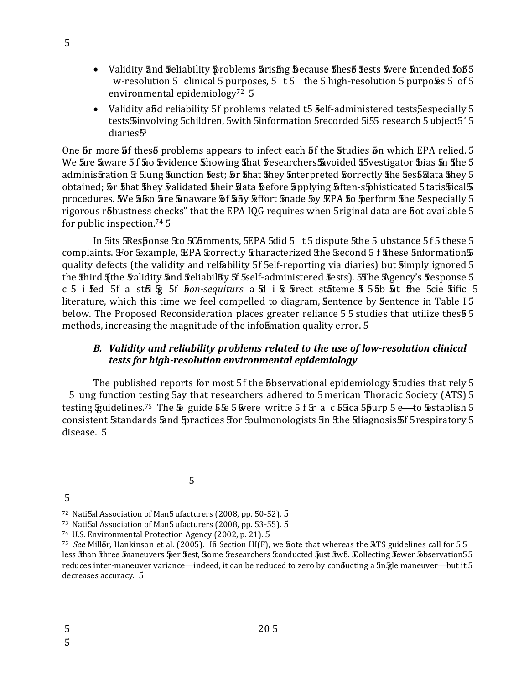- Validity and Feliability Sproblems arising Secause Shes bsests Swere Sintended 5055 w-resolution 5 clinical 5 purposes,  $5 \t t 5$  the 5 high-resolution 5 purposes 5 of 5 environmental epidemiology<sup>72</sup> 5
- Validity and reliability 5f problems related t5 self-administered tests 5 especially 5 tests Sinvolving 5children, 5with 5information 5recorded 5i55 research 5 ubject 5' 5 diaries<sup>3</sup>

One **5** more **5** f thes 5 problems appears to infect each **5** f the **5** tudies **5** n which EPA relied. 5 We are aware 5f 50 & vidence Showing 5hat 5 esearchers Savoided 55 vestigator 5 ias 5n 5he 5 administration Sf 5 lung function fest; 5r fhat fihey finterpreted forrectly fihe fest flata fihey 5 obtained; 5 That they Salidated their slata Sefore Supplying Siten-sphisticated 5 tatis Sical 5 procedures. We 5 kso 5 re 5 naw are 5 f 5 hy fiftort 5 nade 5 y EPA 5 to 5 perform 5 he 5 especially 5 rigorous r5bustness checks" that the EPA IQG requires when 5 riginal data are fiot available 5 for public inspection.<sup>74</sup> 5

In 5 SResponse 5 to 5 C5 mments, 5 EPA 5 did 5 t 5 dispute 5 the 5 ubstance 5 f 5 these 5 complaints. For Sexample, EPA Scorrectly Scharacterized 5 he Second 5 f Shese 5nformation 5 quality defects (the validity and reliability 5f 5elf-reporting via diaries) but simply ignored 5 the shird 5the Syalidity and Syeliability St 5self-administered Stests). 5The Agency's Syesponse 5 c 5 i fed 5f a stfi  $\frac{1}{2}$  5f *fion-sequiturs* a  $\frac{1}{2}$  i  $\frac{1}{2}$  frect st<sub>a</sub> teme 5 5 ab  $\frac{1}{2}$  the 5cie 5 ific 5 literature, which this time we feel compelled to diagram, Sentence by Sentence in Table 15 below. The Proposed Reconsideration places greater reliance 5 5 studies that utilize thes 5 5 methods, increasing the magnitude of the infobmation quality error. 5

# B. Validity and reliability problems related to the use of low-resolution clinical tests for high-resolution environmental epidemiology

The published reports for most 5f the **5**bservational epidemiology **5** tudies that rely 5 5 ung function testing 5ay that researchers adhered to 5 merican Thoracic Society (ATS) 5 testing  $\frac{1}{2}$  variable units.<sup>75</sup> The  $\frac{1}{2}$  guide  $\frac{1}{2}$   $\frac{1}{2}$   $\frac{1}{2}$  where writte 5 f  $\frac{1}{2}$  a c  $\frac{1}{2}$   $\frac{1}{2}$   $\frac{1}{2}$   $\frac{1}{2}$   $\frac{1}{2}$   $\frac{1}{2}$   $\frac{1}{2}$   $\frac{1}{2}$   $\frac{1}{2}$   $\frac{1}{2}$   $\$ consistent 5 standards 5 and 5 practices for 5 pulmonologists 5 n 5 he 5 diagnosis 5 f 5 respiratory 5 disease. 5

 $\overline{5}$ 

<sup>&</sup>lt;sup>72</sup> Nati5al Association of Man5 ufacturers (2008, pp. 50-52). 5

<sup>&</sup>lt;sup>73</sup> Nati5al Association of Man5 ufacturers (2008, pp. 53-55). 5

<sup>&</sup>lt;sup>74</sup> U.S. Environmental Protection Agency (2002, p. 21). 5

<sup>&</sup>lt;sup>75</sup> See Millbr, Hankinson et al. (2005). In Section III(F), we note that whereas the ATS guidelines call for 55 less Shan Shree 5naneuvers 5per Sest, Some 5 esearchers Sconducted 5ust Swo. Sollecting Sewer Sobservation 55 reduces inter-maneuver variance—indeed, it can be reduced to zero by conducting a 5n velopment was to 5 decreases accuracy. 5